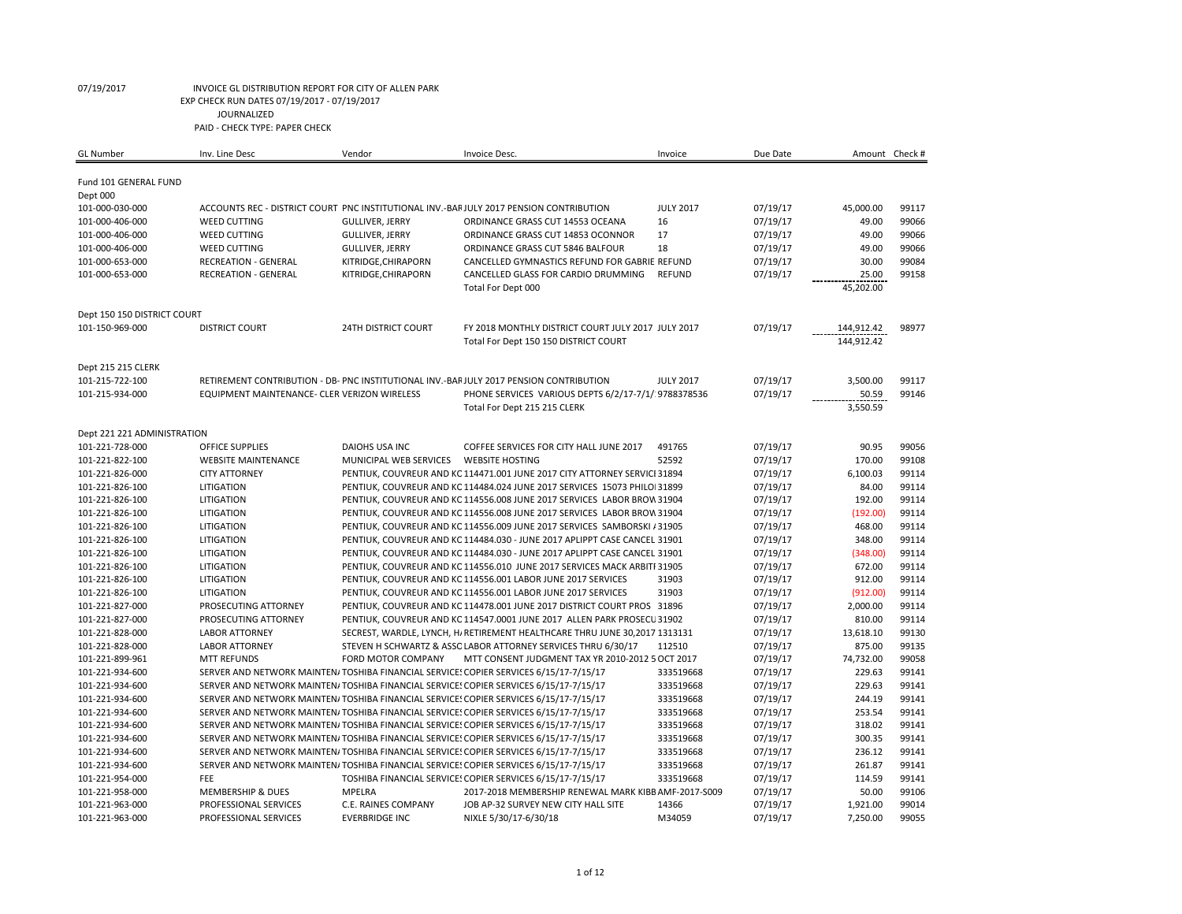| <b>GL</b> Number            | Inv. Line Desc                               | Vendor                     | Invoice Desc.                                                                          | Invoice          | Due Date | Amount Check # |       |
|-----------------------------|----------------------------------------------|----------------------------|----------------------------------------------------------------------------------------|------------------|----------|----------------|-------|
| Fund 101 GENERAL FUND       |                                              |                            |                                                                                        |                  |          |                |       |
| Dept 000                    |                                              |                            |                                                                                        |                  |          |                |       |
| 101-000-030-000             |                                              |                            | ACCOUNTS REC - DISTRICT COURT PNC INSTITUTIONAL INV.-BARJULY 2017 PENSION CONTRIBUTION | <b>JULY 2017</b> | 07/19/17 | 45,000.00      | 99117 |
| 101-000-406-000             | <b>WEED CUTTING</b>                          | <b>GULLIVER, JERRY</b>     | ORDINANCE GRASS CUT 14553 OCEANA                                                       | 16               | 07/19/17 | 49.00          | 99066 |
| 101-000-406-000             | <b>WEED CUTTING</b>                          | <b>GULLIVER, JERRY</b>     | ORDINANCE GRASS CUT 14853 OCONNOR                                                      | 17               | 07/19/17 | 49.00          | 99066 |
| 101-000-406-000             | <b>WEED CUTTING</b>                          | <b>GULLIVER, JERRY</b>     | ORDINANCE GRASS CUT 5846 BALFOUR                                                       | 18               | 07/19/17 | 49.00          | 99066 |
| 101-000-653-000             | <b>RECREATION - GENERAL</b>                  | KITRIDGE, CHIRAPORN        | CANCELLED GYMNASTICS REFUND FOR GABRIE REFUND                                          |                  | 07/19/17 | 30.00          | 99084 |
| 101-000-653-000             | <b>RECREATION - GENERAL</b>                  | KITRIDGE, CHIRAPORN        | CANCELLED GLASS FOR CARDIO DRUMMING                                                    | <b>REFUND</b>    | 07/19/17 | 25.00          | 99158 |
|                             |                                              |                            | Total For Dept 000                                                                     |                  |          | 45,202.00      |       |
| Dept 150 150 DISTRICT COURT |                                              |                            |                                                                                        |                  |          |                |       |
| 101-150-969-000             | <b>DISTRICT COURT</b>                        | <b>24TH DISTRICT COURT</b> | FY 2018 MONTHLY DISTRICT COURT JULY 2017 JULY 2017                                     |                  | 07/19/17 | 144,912.42     | 98977 |
|                             |                                              |                            | Total For Dept 150 150 DISTRICT COURT                                                  |                  |          | 144,912.42     |       |
|                             |                                              |                            |                                                                                        |                  |          |                |       |
| Dept 215 215 CLERK          |                                              |                            |                                                                                        |                  |          |                |       |
| 101-215-722-100             |                                              |                            | RETIREMENT CONTRIBUTION - DB- PNC INSTITUTIONAL INV.-BARJULY 2017 PENSION CONTRIBUTION | <b>JULY 2017</b> | 07/19/17 | 3,500.00       | 99117 |
| 101-215-934-000             | EQUIPMENT MAINTENANCE- CLER VERIZON WIRELESS |                            | PHONE SERVICES VARIOUS DEPTS 6/2/17-7/1/ 9788378536                                    |                  | 07/19/17 | 50.59          | 99146 |
|                             |                                              |                            | Total For Dept 215 215 CLERK                                                           |                  |          | 3,550.59       |       |
| Dept 221 221 ADMINISTRATION |                                              |                            |                                                                                        |                  |          |                |       |
| 101-221-728-000             | <b>OFFICE SUPPLIES</b>                       | <b>DAIOHS USA INC</b>      | COFFEE SERVICES FOR CITY HALL JUNE 2017                                                | 491765           | 07/19/17 | 90.95          | 99056 |
| 101-221-822-100             | <b>WEBSITE MAINTENANCE</b>                   | MUNICIPAL WEB SERVICES     | <b>WEBSITE HOSTING</b>                                                                 | 52592            | 07/19/17 | 170.00         | 99108 |
| 101-221-826-000             | <b>CITY ATTORNEY</b>                         |                            | PENTIUK, COUVREUR AND KC 114471.001 JUNE 2017 CITY ATTORNEY SERVICI 31894              |                  | 07/19/17 | 6,100.03       | 99114 |
| 101-221-826-100             | LITIGATION                                   |                            | PENTIUK, COUVREUR AND KC 114484.024 JUNE 2017 SERVICES 15073 PHILO 31899               |                  | 07/19/17 | 84.00          | 99114 |
| 101-221-826-100             | LITIGATION                                   |                            | PENTIUK, COUVREUR AND KC 114556.008 JUNE 2017 SERVICES LABOR BROW 31904                |                  | 07/19/17 | 192.00         | 99114 |
| 101-221-826-100             | LITIGATION                                   |                            | PENTIUK, COUVREUR AND KC 114556.008 JUNE 2017 SERVICES LABOR BROW 31904                |                  | 07/19/17 | (192.00)       | 99114 |
| 101-221-826-100             | <b>LITIGATION</b>                            |                            | PENTIUK, COUVREUR AND KC 114556.009 JUNE 2017 SERVICES SAMBORSKI / 31905               |                  | 07/19/17 | 468.00         | 99114 |
| 101-221-826-100             | LITIGATION                                   |                            | PENTIUK, COUVREUR AND KC 114484.030 - JUNE 2017 APLIPPT CASE CANCEL 31901              |                  | 07/19/17 | 348.00         | 99114 |
| 101-221-826-100             | LITIGATION                                   |                            | PENTIUK, COUVREUR AND KC 114484.030 - JUNE 2017 APLIPPT CASE CANCEL 31901              |                  | 07/19/17 | (348.00)       | 99114 |
| 101-221-826-100             | LITIGATION                                   |                            | PENTIUK, COUVREUR AND KC 114556.010 JUNE 2017 SERVICES MACK ARBITI 31905               |                  | 07/19/17 | 672.00         | 99114 |
| 101-221-826-100             | LITIGATION                                   |                            | PENTIUK, COUVREUR AND KC 114556.001 LABOR JUNE 2017 SERVICES                           | 31903            | 07/19/17 | 912.00         | 99114 |
| 101-221-826-100             | LITIGATION                                   |                            | PENTIUK, COUVREUR AND KC 114556.001 LABOR JUNE 2017 SERVICES                           | 31903            | 07/19/17 | (912.00)       | 99114 |
| 101-221-827-000             | PROSECUTING ATTORNEY                         |                            | PENTIUK, COUVREUR AND KC 114478.001 JUNE 2017 DISTRICT COURT PROS 31896                |                  | 07/19/17 | 2,000.00       | 99114 |
| 101-221-827-000             | PROSECUTING ATTORNEY                         |                            | PENTIUK, COUVREUR AND KC 114547.0001 JUNE 2017 ALLEN PARK PROSECU 31902                |                  | 07/19/17 | 810.00         | 99114 |
| 101-221-828-000             | <b>LABOR ATTORNEY</b>                        |                            | SECREST, WARDLE, LYNCH, H/ RETIREMENT HEALTHCARE THRU JUNE 30,2017 1313131             |                  | 07/19/17 | 13,618.10      | 99130 |
| 101-221-828-000             | <b>LABOR ATTORNEY</b>                        |                            | STEVEN H SCHWARTZ & ASSC LABOR ATTORNEY SERVICES THRU 6/30/17                          | 112510           | 07/19/17 | 875.00         | 99135 |
| 101-221-899-961             | <b>MTT REFUNDS</b>                           | FORD MOTOR COMPANY         | MTT CONSENT JUDGMENT TAX YR 2010-2012 5 OCT 2017                                       |                  | 07/19/17 | 74,732.00      | 99058 |
| 101-221-934-600             |                                              |                            | SERVER AND NETWORK MAINTEN/TOSHIBA FINANCIAL SERVICE: COPIER SERVICES 6/15/17-7/15/17  | 333519668        | 07/19/17 | 229.63         | 99141 |
| 101-221-934-600             |                                              |                            | SERVER AND NETWORK MAINTEN/TOSHIBA FINANCIAL SERVICES COPIER SERVICES 6/15/17-7/15/17  | 333519668        | 07/19/17 | 229.63         | 99141 |
| 101-221-934-600             |                                              |                            | SERVER AND NETWORK MAINTEN/ TOSHIBA FINANCIAL SERVICE! COPIER SERVICES 6/15/17-7/15/17 | 333519668        | 07/19/17 | 244.19         | 99141 |
| 101-221-934-600             |                                              |                            | SERVER AND NETWORK MAINTEN/ TOSHIBA FINANCIAL SERVICE! COPIER SERVICES 6/15/17-7/15/17 | 333519668        | 07/19/17 | 253.54         | 99141 |
| 101-221-934-600             |                                              |                            | SERVER AND NETWORK MAINTEN/TOSHIBA FINANCIAL SERVICE: COPIER SERVICES 6/15/17-7/15/17  | 333519668        | 07/19/17 | 318.02         | 99141 |
| 101-221-934-600             |                                              |                            | SERVER AND NETWORK MAINTEN/TOSHIBA FINANCIAL SERVICE! COPIER SERVICES 6/15/17-7/15/17  | 333519668        | 07/19/17 | 300.35         | 99141 |
| 101-221-934-600             |                                              |                            | SERVER AND NETWORK MAINTEN/TOSHIBA FINANCIAL SERVICES COPIER SERVICES 6/15/17-7/15/17  | 333519668        | 07/19/17 | 236.12         | 99141 |
| 101-221-934-600             |                                              |                            | SERVER AND NETWORK MAINTEN/TOSHIBA FINANCIAL SERVICES COPIER SERVICES 6/15/17-7/15/17  | 333519668        | 07/19/17 | 261.87         | 99141 |
| 101-221-954-000             | FEE                                          |                            | TOSHIBA FINANCIAL SERVICE: COPIER SERVICES 6/15/17-7/15/17                             | 333519668        | 07/19/17 | 114.59         | 99141 |
| 101-221-958-000             | <b>MEMBERSHIP &amp; DUES</b>                 | <b>MPELRA</b>              | 2017-2018 MEMBERSHIP RENEWAL MARK KIBB AMF-2017-S009                                   |                  | 07/19/17 | 50.00          | 99106 |
| 101-221-963-000             | PROFESSIONAL SERVICES                        | C.E. RAINES COMPANY        | JOB AP-32 SURVEY NEW CITY HALL SITE                                                    | 14366            | 07/19/17 | 1,921.00       | 99014 |
| 101-221-963-000             | PROFESSIONAL SERVICES                        | <b>EVERBRIDGE INC</b>      | NIXLE 5/30/17-6/30/18                                                                  | M34059           | 07/19/17 | 7.250.00       | 99055 |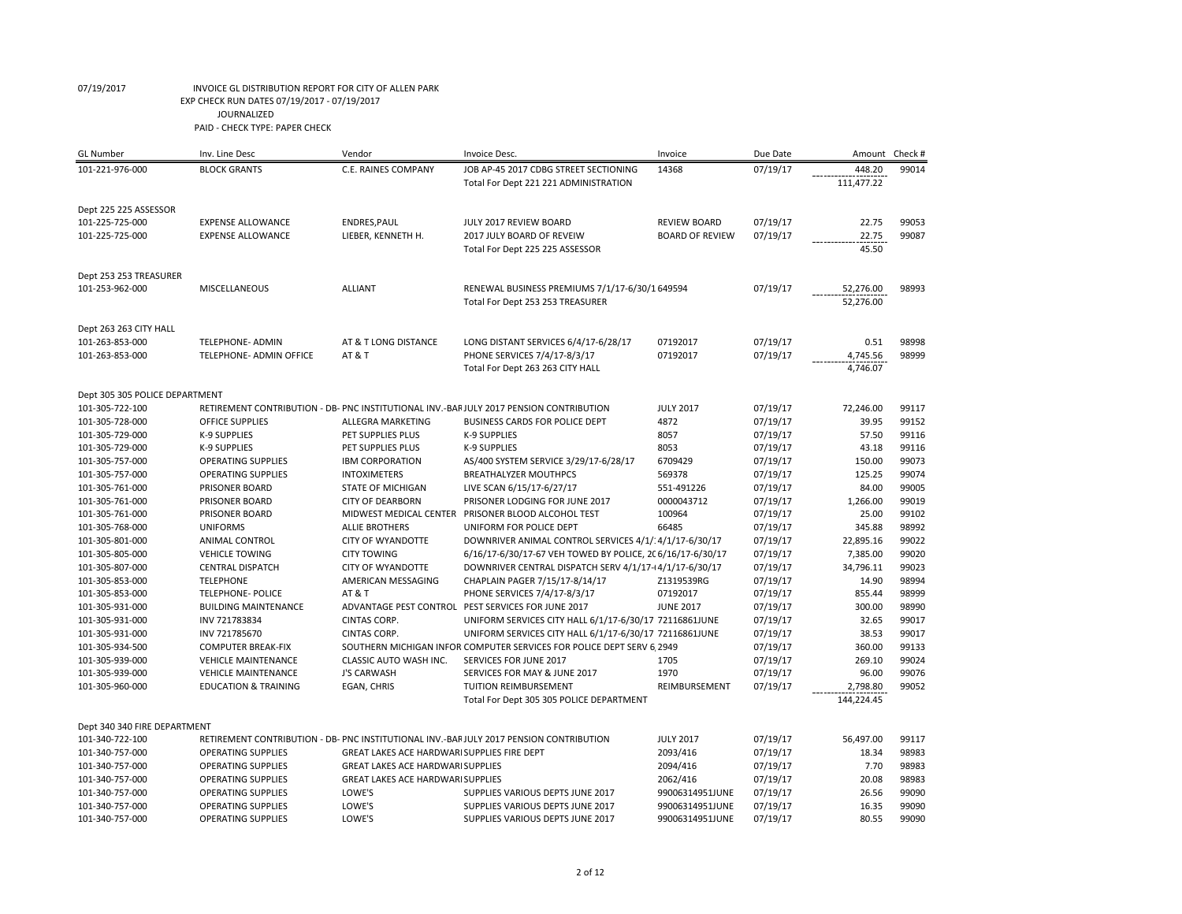| <b>GL Number</b>               | Inv. Line Desc                  | Vendor                                      | Invoice Desc.                                                                          | Invoice                | Due Date | Amount                 | Check # |
|--------------------------------|---------------------------------|---------------------------------------------|----------------------------------------------------------------------------------------|------------------------|----------|------------------------|---------|
| 101-221-976-000                | <b>BLOCK GRANTS</b>             | C.E. RAINES COMPANY                         | JOB AP-45 2017 CDBG STREET SECTIONING<br>Total For Dept 221 221 ADMINISTRATION         | 14368                  | 07/19/17 | 448.20<br>111,477.22   | 99014   |
| Dept 225 225 ASSESSOR          |                                 |                                             |                                                                                        |                        |          |                        |         |
| 101-225-725-000                | <b>EXPENSE ALLOWANCE</b>        | ENDRES, PAUL                                | JULY 2017 REVIEW BOARD                                                                 | <b>REVIEW BOARD</b>    | 07/19/17 | 22.75                  | 99053   |
| 101-225-725-000                | <b>EXPENSE ALLOWANCE</b>        | LIEBER, KENNETH H.                          | 2017 JULY BOARD OF REVEIW<br>Total For Dept 225 225 ASSESSOR                           | <b>BOARD OF REVIEW</b> | 07/19/17 | 22.75<br>45.50         | 99087   |
| Dept 253 253 TREASURER         |                                 |                                             |                                                                                        |                        |          |                        |         |
| 101-253-962-000                | MISCELLANEOUS                   | <b>ALLIANT</b>                              | RENEWAL BUSINESS PREMIUMS 7/1/17-6/30/1 649594<br>Total For Dept 253 253 TREASURER     |                        | 07/19/17 | 52,276.00<br>52,276.00 | 98993   |
| Dept 263 263 CITY HALL         |                                 |                                             |                                                                                        |                        |          |                        |         |
| 101-263-853-000                | <b>TELEPHONE- ADMIN</b>         | AT & T LONG DISTANCE                        | LONG DISTANT SERVICES 6/4/17-6/28/17                                                   | 07192017               | 07/19/17 | 0.51                   | 98998   |
| 101-263-853-000                | <b>TELEPHONE- ADMIN OFFICE</b>  | AT & T                                      | PHONE SERVICES 7/4/17-8/3/17<br>Total For Dept 263 263 CITY HALL                       | 07192017               | 07/19/17 | 4,745.56<br>4,746.07   | 98999   |
| Dept 305 305 POLICE DEPARTMENT |                                 |                                             |                                                                                        |                        |          |                        |         |
| 101-305-722-100                |                                 |                                             | RETIREMENT CONTRIBUTION - DB- PNC INSTITUTIONAL INV.-BARJULY 2017 PENSION CONTRIBUTION | <b>JULY 2017</b>       | 07/19/17 | 72,246.00              | 99117   |
| 101-305-728-000                | <b>OFFICE SUPPLIES</b>          | ALLEGRA MARKETING                           | BUSINESS CARDS FOR POLICE DEPT                                                         | 4872                   | 07/19/17 | 39.95                  | 99152   |
| 101-305-729-000                | <b>K-9 SUPPLIES</b>             | PET SUPPLIES PLUS                           | <b>K-9 SUPPLIES</b>                                                                    | 8057                   | 07/19/17 | 57.50                  | 99116   |
| 101-305-729-000                | K-9 SUPPLIES                    | PET SUPPLIES PLUS                           | <b>K-9 SUPPLIES</b>                                                                    | 8053                   | 07/19/17 | 43.18                  | 99116   |
| 101-305-757-000                | <b>OPERATING SUPPLIES</b>       | <b>IBM CORPORATION</b>                      | AS/400 SYSTEM SERVICE 3/29/17-6/28/17                                                  | 6709429                | 07/19/17 | 150.00                 | 99073   |
| 101-305-757-000                | <b>OPERATING SUPPLIES</b>       | <b>INTOXIMETERS</b>                         | <b>BREATHALYZER MOUTHPCS</b>                                                           | 569378                 | 07/19/17 | 125.25                 | 99074   |
| 101-305-761-000                | PRISONER BOARD                  | <b>STATE OF MICHIGAN</b>                    | LIVE SCAN 6/15/17-6/27/17                                                              | 551-491226             | 07/19/17 | 84.00                  | 99005   |
| 101-305-761-000                | PRISONER BOARD                  | <b>CITY OF DEARBORN</b>                     | PRISONER LODGING FOR JUNE 2017                                                         | 0000043712             | 07/19/17 | 1,266.00               | 99019   |
| 101-305-761-000                | PRISONER BOARD                  |                                             | MIDWEST MEDICAL CENTER PRISONER BLOOD ALCOHOL TEST                                     | 100964                 | 07/19/17 | 25.00                  | 99102   |
| 101-305-768-000                | <b>UNIFORMS</b>                 | <b>ALLIE BROTHERS</b>                       | UNIFORM FOR POLICE DEPT                                                                | 66485                  | 07/19/17 | 345.88                 | 98992   |
| 101-305-801-000                | <b>ANIMAL CONTROL</b>           | <b>CITY OF WYANDOTTE</b>                    | DOWNRIVER ANIMAL CONTROL SERVICES 4/1/: 4/1/17-6/30/17                                 |                        | 07/19/17 | 22,895.16              | 99022   |
| 101-305-805-000                | <b>VEHICLE TOWING</b>           | <b>CITY TOWING</b>                          | 6/16/17-6/30/17-67 VEH TOWED BY POLICE, 2(6/16/17-6/30/17                              |                        | 07/19/17 | 7,385.00               | 99020   |
| 101-305-807-000                | <b>CENTRAL DISPATCH</b>         | <b>CITY OF WYANDOTTE</b>                    | DOWNRIVER CENTRAL DISPATCH SERV 4/1/17-14/1/17-6/30/17                                 |                        | 07/19/17 | 34,796.11              | 99023   |
| 101-305-853-000                | <b>TELEPHONE</b>                | AMERICAN MESSAGING                          | CHAPLAIN PAGER 7/15/17-8/14/17                                                         | Z1319539RG             | 07/19/17 | 14.90                  | 98994   |
| 101-305-853-000                | <b>TELEPHONE- POLICE</b>        | AT&T                                        | PHONE SERVICES 7/4/17-8/3/17                                                           | 07192017               | 07/19/17 | 855.44                 | 98999   |
| 101-305-931-000                | <b>BUILDING MAINTENANCE</b>     |                                             | ADVANTAGE PEST CONTROL PEST SERVICES FOR JUNE 2017                                     | <b>JUNE 2017</b>       | 07/19/17 | 300.00                 | 98990   |
| 101-305-931-000                | INV 721783834                   | CINTAS CORP.                                | UNIFORM SERVICES CITY HALL 6/1/17-6/30/17 72116861JUNE                                 |                        | 07/19/17 | 32.65                  | 99017   |
| 101-305-931-000                | INV 721785670                   | <b>CINTAS CORP.</b>                         | UNIFORM SERVICES CITY HALL 6/1/17-6/30/17 72116861JUNE                                 |                        | 07/19/17 | 38.53                  | 99017   |
| 101-305-934-500                | <b>COMPUTER BREAK-FIX</b>       |                                             | SOUTHERN MICHIGAN INFOR COMPUTER SERVICES FOR POLICE DEPT SERV 6 2949                  |                        | 07/19/17 | 360.00                 | 99133   |
| 101-305-939-000                | <b>VEHICLE MAINTENANCE</b>      | CLASSIC AUTO WASH INC.                      | SERVICES FOR JUNE 2017                                                                 | 1705                   | 07/19/17 | 269.10                 | 99024   |
| 101-305-939-000                | <b>VEHICLE MAINTENANCE</b>      | <b>J'S CARWASH</b>                          | SERVICES FOR MAY & JUNE 2017                                                           | 1970                   | 07/19/17 | 96.00                  | 99076   |
| 101-305-960-000                | <b>EDUCATION &amp; TRAINING</b> | EGAN, CHRIS                                 | TUITION REIMBURSEMENT                                                                  | REIMBURSEMENT          | 07/19/17 | 2,798.80               | 99052   |
|                                |                                 |                                             | Total For Dept 305 305 POLICE DEPARTMENT                                               |                        |          | 144,224.45             |         |
| Dept 340 340 FIRE DEPARTMENT   |                                 |                                             |                                                                                        |                        |          |                        |         |
| 101-340-722-100                |                                 |                                             | RETIREMENT CONTRIBUTION - DB- PNC INSTITUTIONAL INV.-BARJULY 2017 PENSION CONTRIBUTION | <b>JULY 2017</b>       | 07/19/17 | 56,497.00              | 99117   |
| 101-340-757-000                | <b>OPERATING SUPPLIES</b>       | GREAT LAKES ACE HARDWARI SUPPLIES FIRE DEPT |                                                                                        | 2093/416               | 07/19/17 | 18.34                  | 98983   |
| 101-340-757-000                | <b>OPERATING SUPPLIES</b>       | <b>GREAT LAKES ACE HARDWARI SUPPLIES</b>    |                                                                                        | 2094/416               | 07/19/17 | 7.70                   | 98983   |
| 101-340-757-000                | <b>OPERATING SUPPLIES</b>       | <b>GREAT LAKES ACE HARDWARI SUPPLIES</b>    |                                                                                        | 2062/416               | 07/19/17 | 20.08                  | 98983   |
| 101-340-757-000                | <b>OPERATING SUPPLIES</b>       | LOWE'S                                      | SUPPLIES VARIOUS DEPTS JUNE 2017                                                       | 99006314951JUNE        | 07/19/17 | 26.56                  | 99090   |
| 101-340-757-000                | <b>OPERATING SUPPLIES</b>       | LOWE'S                                      | SUPPLIES VARIOUS DEPTS JUNE 2017                                                       | 99006314951JUNE        | 07/19/17 | 16.35                  | 99090   |
| 101-340-757-000                | <b>OPERATING SUPPLIES</b>       | LOWE'S                                      | SUPPLIES VARIOUS DEPTS JUNE 2017                                                       | 99006314951JUNE        | 07/19/17 | 80.55                  | 99090   |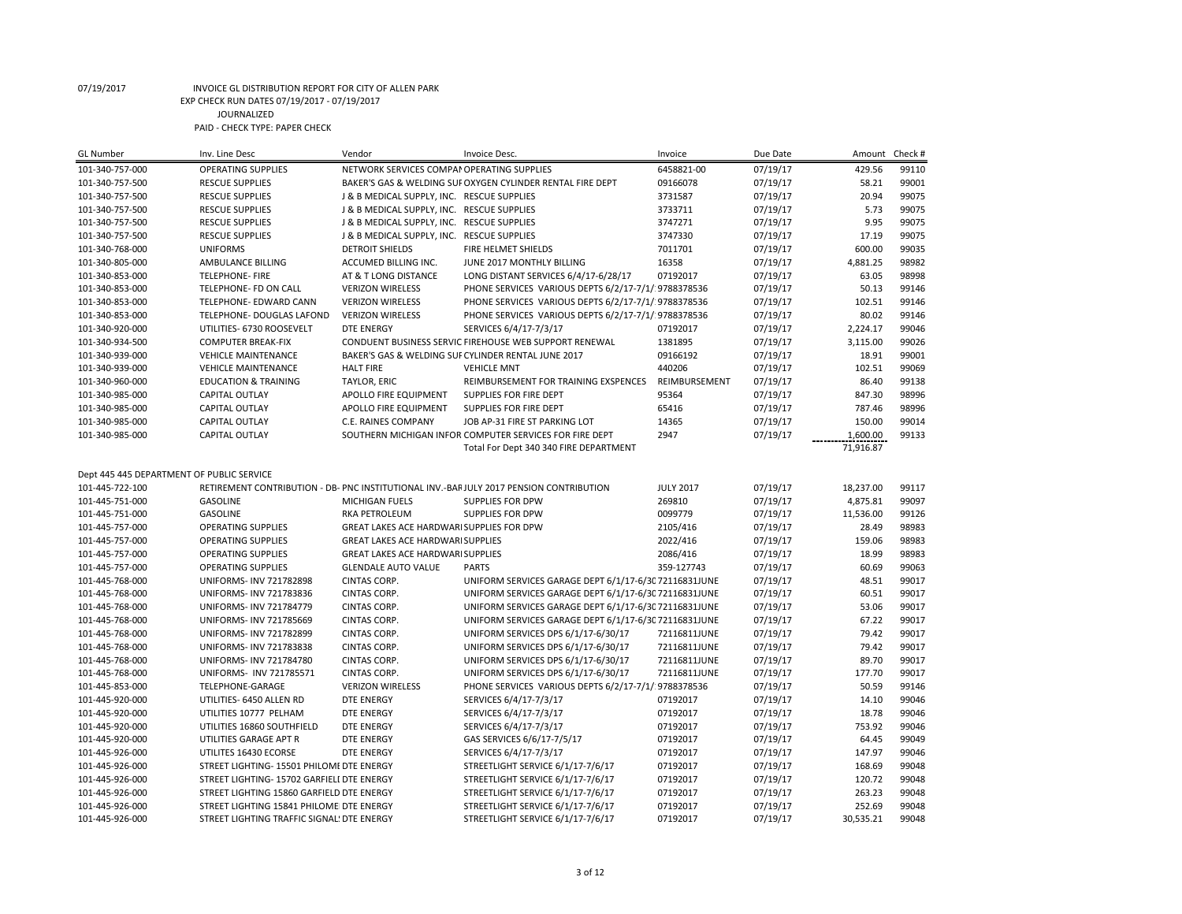| GL Number                                 | Inv. Line Desc                             | Vendor                                     | Invoice Desc.                                                                                                  | Invoice          | Due Date             | Amount         | Check # |
|-------------------------------------------|--------------------------------------------|--------------------------------------------|----------------------------------------------------------------------------------------------------------------|------------------|----------------------|----------------|---------|
| 101-340-757-000                           | <b>OPERATING SUPPLIES</b>                  | NETWORK SERVICES COMPAN OPERATING SUPPLIES |                                                                                                                | 6458821-00       | 07/19/17             | 429.56         | 99110   |
| 101-340-757-500                           | <b>RESCUE SUPPLIES</b>                     |                                            | BAKER'S GAS & WELDING SUF OXYGEN CYLINDER RENTAL FIRE DEPT                                                     | 09166078         | 07/19/17             | 58.21          | 99001   |
| 101-340-757-500                           | <b>RESCUE SUPPLIES</b>                     | J & B MEDICAL SUPPLY, INC. RESCUE SUPPLIES |                                                                                                                | 3731587          | 07/19/17             | 20.94          | 99075   |
| 101-340-757-500                           | <b>RESCUE SUPPLIES</b>                     | J & B MEDICAL SUPPLY, INC. RESCUE SUPPLIES |                                                                                                                | 3733711          | 07/19/17             | 5.73           | 99075   |
| 101-340-757-500                           | <b>RESCUE SUPPLIES</b>                     | J & B MEDICAL SUPPLY, INC. RESCUE SUPPLIES |                                                                                                                | 3747271          | 07/19/17             | 9.95           | 99075   |
| 101-340-757-500                           | <b>RESCUE SUPPLIES</b>                     | J & B MEDICAL SUPPLY, INC. RESCUE SUPPLIES |                                                                                                                | 3747330          | 07/19/17             | 17.19          | 99075   |
| 101-340-768-000                           | <b>UNIFORMS</b>                            | <b>DETROIT SHIELDS</b>                     | FIRE HELMET SHIELDS                                                                                            | 7011701          | 07/19/17             | 600.00         | 99035   |
| 101-340-805-000                           | AMBULANCE BILLING                          | ACCUMED BILLING INC.                       | JUNE 2017 MONTHLY BILLING                                                                                      | 16358            | 07/19/17             | 4,881.25       | 98982   |
| 101-340-853-000                           | <b>TELEPHONE-FIRE</b>                      | AT & T LONG DISTANCE                       | LONG DISTANT SERVICES 6/4/17-6/28/17                                                                           | 07192017         | 07/19/17             | 63.05          | 98998   |
| 101-340-853-000                           | TELEPHONE- FD ON CALL                      | <b>VERIZON WIRELESS</b>                    | PHONE SERVICES VARIOUS DEPTS 6/2/17-7/1/ 9788378536                                                            |                  | 07/19/17             | 50.13          | 99146   |
| 101-340-853-000                           | TELEPHONE- EDWARD CANN                     | <b>VERIZON WIRELESS</b>                    | PHONE SERVICES VARIOUS DEPTS 6/2/17-7/1/ 9788378536                                                            |                  | 07/19/17             | 102.51         | 99146   |
| 101-340-853-000                           | TELEPHONE- DOUGLAS LAFOND                  | <b>VERIZON WIRELESS</b>                    | PHONE SERVICES VARIOUS DEPTS 6/2/17-7/1/ 9788378536                                                            |                  | 07/19/17             | 80.02          | 99146   |
| 101-340-920-000                           | UTILITIES- 6730 ROOSEVELT                  | <b>DTE ENERGY</b>                          | SERVICES 6/4/17-7/3/17                                                                                         | 07192017         | 07/19/17             | 2,224.17       | 99046   |
| 101-340-934-500                           | <b>COMPUTER BREAK-FIX</b>                  |                                            | CONDUENT BUSINESS SERVIC FIREHOUSE WEB SUPPORT RENEWAL                                                         | 1381895          | 07/19/17             | 3,115.00       | 99026   |
| 101-340-939-000                           | <b>VEHICLE MAINTENANCE</b>                 |                                            | BAKER'S GAS & WELDING SUF CYLINDER RENTAL JUNE 2017                                                            | 09166192         | 07/19/17             | 18.91          | 99001   |
| 101-340-939-000                           | <b>VEHICLE MAINTENANCE</b>                 | <b>HALT FIRE</b>                           | <b>VEHICLE MNT</b>                                                                                             | 440206           | 07/19/17             | 102.51         | 99069   |
| 101-340-960-000                           | <b>EDUCATION &amp; TRAINING</b>            | TAYLOR, ERIC                               | REIMBURSEMENT FOR TRAINING EXSPENCES                                                                           | REIMBURSEMENT    | 07/19/17             | 86.40          | 99138   |
| 101-340-985-000                           | CAPITAL OUTLAY                             | APOLLO FIRE EQUIPMENT                      | SUPPLIES FOR FIRE DEPT                                                                                         | 95364            | 07/19/17             | 847.30         | 98996   |
| 101-340-985-000                           | <b>CAPITAL OUTLAY</b>                      | APOLLO FIRE EQUIPMENT                      | SUPPLIES FOR FIRE DEPT                                                                                         | 65416            | 07/19/17             | 787.46         | 98996   |
| 101-340-985-000                           | CAPITAL OUTLAY                             | <b>C.E. RAINES COMPANY</b>                 | JOB AP-31 FIRE ST PARKING LOT                                                                                  | 14365            | 07/19/17             | 150.00         | 99014   |
| 101-340-985-000                           | <b>CAPITAL OUTLAY</b>                      |                                            | SOUTHERN MICHIGAN INFOR COMPUTER SERVICES FOR FIRE DEPT                                                        | 2947             | 07/19/17             | 1,600.00       | 99133   |
|                                           |                                            |                                            |                                                                                                                |                  |                      | 71,916.87      |         |
|                                           |                                            |                                            | Total For Dept 340 340 FIRE DEPARTMENT                                                                         |                  |                      |                |         |
| Dept 445 445 DEPARTMENT OF PUBLIC SERVICE |                                            |                                            |                                                                                                                |                  |                      |                |         |
| 101-445-722-100                           |                                            |                                            | RETIREMENT CONTRIBUTION - DB- PNC INSTITUTIONAL INV.-BARJULY 2017 PENSION CONTRIBUTION                         | <b>JULY 2017</b> | 07/19/17             | 18,237.00      | 99117   |
| 101-445-751-000                           | <b>GASOLINE</b>                            | <b>MICHIGAN FUELS</b>                      | <b>SUPPLIES FOR DPW</b>                                                                                        | 269810           | 07/19/17             | 4,875.81       | 99097   |
| 101-445-751-000                           | <b>GASOLINE</b>                            | <b>RKA PETROLEUM</b>                       | SUPPLIES FOR DPW                                                                                               | 0099779          | 07/19/17             | 11,536.00      | 99126   |
| 101-445-757-000                           | <b>OPERATING SUPPLIES</b>                  | GREAT LAKES ACE HARDWARI SUPPLIES FOR DPW  |                                                                                                                | 2105/416         | 07/19/17             | 28.49          | 98983   |
| 101-445-757-000                           | <b>OPERATING SUPPLIES</b>                  | <b>GREAT LAKES ACE HARDWARI SUPPLIES</b>   |                                                                                                                | 2022/416         | 07/19/17             | 159.06         | 98983   |
| 101-445-757-000                           | <b>OPERATING SUPPLIES</b>                  | <b>GREAT LAKES ACE HARDWARI SUPPLIES</b>   |                                                                                                                | 2086/416         | 07/19/17             | 18.99          | 98983   |
| 101-445-757-000                           | <b>OPERATING SUPPLIES</b>                  | <b>GLENDALE AUTO VALUE</b>                 | <b>PARTS</b>                                                                                                   | 359-127743       | 07/19/17             | 60.69          | 99063   |
| 101-445-768-000                           | <b>UNIFORMS- INV 721782898</b>             | <b>CINTAS CORP.</b>                        | UNIFORM SERVICES GARAGE DEPT 6/1/17-6/3C 72116831JUNE                                                          |                  | 07/19/17             | 48.51          | 99017   |
|                                           | UNIFORMS- INV 721783836                    | CINTAS CORP.                               |                                                                                                                |                  |                      | 60.51          | 99017   |
| 101-445-768-000                           |                                            |                                            | UNIFORM SERVICES GARAGE DEPT 6/1/17-6/3C 72116831JUNE                                                          |                  | 07/19/17             |                | 99017   |
| 101-445-768-000                           | UNIFORMS- INV 721784779                    | CINTAS CORP.                               | UNIFORM SERVICES GARAGE DEPT 6/1/17-6/3C 72116831JUNE<br>UNIFORM SERVICES GARAGE DEPT 6/1/17-6/3C 72116831JUNE |                  | 07/19/17<br>07/19/17 | 53.06<br>67.22 | 99017   |
| 101-445-768-000                           | UNIFORMS- INV 721785669                    | CINTAS CORP.                               |                                                                                                                |                  |                      | 79.42          | 99017   |
| 101-445-768-000                           | UNIFORMS- INV 721782899                    | CINTAS CORP.                               | UNIFORM SERVICES DPS 6/1/17-6/30/17                                                                            | 72116811JUNE     | 07/19/17             |                |         |
| 101-445-768-000                           | UNIFORMS- INV 721783838                    | CINTAS CORP.                               | UNIFORM SERVICES DPS 6/1/17-6/30/17                                                                            | 72116811JUNE     | 07/19/17             | 79.42          | 99017   |
| 101-445-768-000                           | UNIFORMS- INV 721784780                    | CINTAS CORP.                               | UNIFORM SERVICES DPS 6/1/17-6/30/17                                                                            | 72116811JUNE     | 07/19/17             | 89.70          | 99017   |
| 101-445-768-000                           | UNIFORMS- INV 721785571                    | <b>CINTAS CORP.</b>                        | UNIFORM SERVICES DPS 6/1/17-6/30/17                                                                            | 72116811JUNE     | 07/19/17             | 177.70         | 99017   |
| 101-445-853-000                           | TELEPHONE-GARAGE                           | <b>VERIZON WIRELESS</b>                    | PHONE SERVICES VARIOUS DEPTS 6/2/17-7/1/ 9788378536                                                            |                  | 07/19/17             | 50.59          | 99146   |
| 101-445-920-000                           | UTILITIES- 6450 ALLEN RD                   | <b>DTE ENERGY</b>                          | SERVICES 6/4/17-7/3/17                                                                                         | 07192017         | 07/19/17             | 14.10          | 99046   |
| 101-445-920-000                           | UTILITIES 10777 PELHAM                     | <b>DTE ENERGY</b>                          | SERVICES 6/4/17-7/3/17                                                                                         | 07192017         | 07/19/17             | 18.78          | 99046   |
| 101-445-920-000                           | UTILITIES 16860 SOUTHFIELD                 | <b>DTE ENERGY</b>                          | SERVICES 6/4/17-7/3/17                                                                                         | 07192017         | 07/19/17             | 753.92         | 99046   |
| 101-445-920-000                           | UTILITIES GARAGE APT R                     | <b>DTE ENERGY</b>                          | GAS SERVICES 6/6/17-7/5/17                                                                                     | 07192017         | 07/19/17             | 64.45          | 99049   |
| 101-445-926-000                           | UTILITES 16430 ECORSE                      | <b>DTE ENERGY</b>                          | SERVICES 6/4/17-7/3/17                                                                                         | 07192017         | 07/19/17             | 147.97         | 99046   |
| 101-445-926-000                           | STREET LIGHTING- 15501 PHILOMI DTE ENERGY  |                                            | STREETLIGHT SERVICE 6/1/17-7/6/17                                                                              | 07192017         | 07/19/17             | 168.69         | 99048   |
| 101-445-926-000                           | STREET LIGHTING- 15702 GARFIELI DTE ENERGY |                                            | STREETLIGHT SERVICE 6/1/17-7/6/17                                                                              | 07192017         | 07/19/17             | 120.72         | 99048   |
| 101-445-926-000                           | STREET LIGHTING 15860 GARFIELD DTE ENERGY  |                                            | STREETLIGHT SERVICE 6/1/17-7/6/17                                                                              | 07192017         | 07/19/17             | 263.23         | 99048   |
| 101-445-926-000                           | STREET LIGHTING 15841 PHILOMEI DTE ENERGY  |                                            | STREETLIGHT SERVICE 6/1/17-7/6/17                                                                              | 07192017         | 07/19/17             | 252.69         | 99048   |
| 101-445-926-000                           | STREET LIGHTING TRAFFIC SIGNAL! DTE ENERGY |                                            | STREETLIGHT SERVICE 6/1/17-7/6/17                                                                              | 07192017         | 07/19/17             | 30,535.21      | 99048   |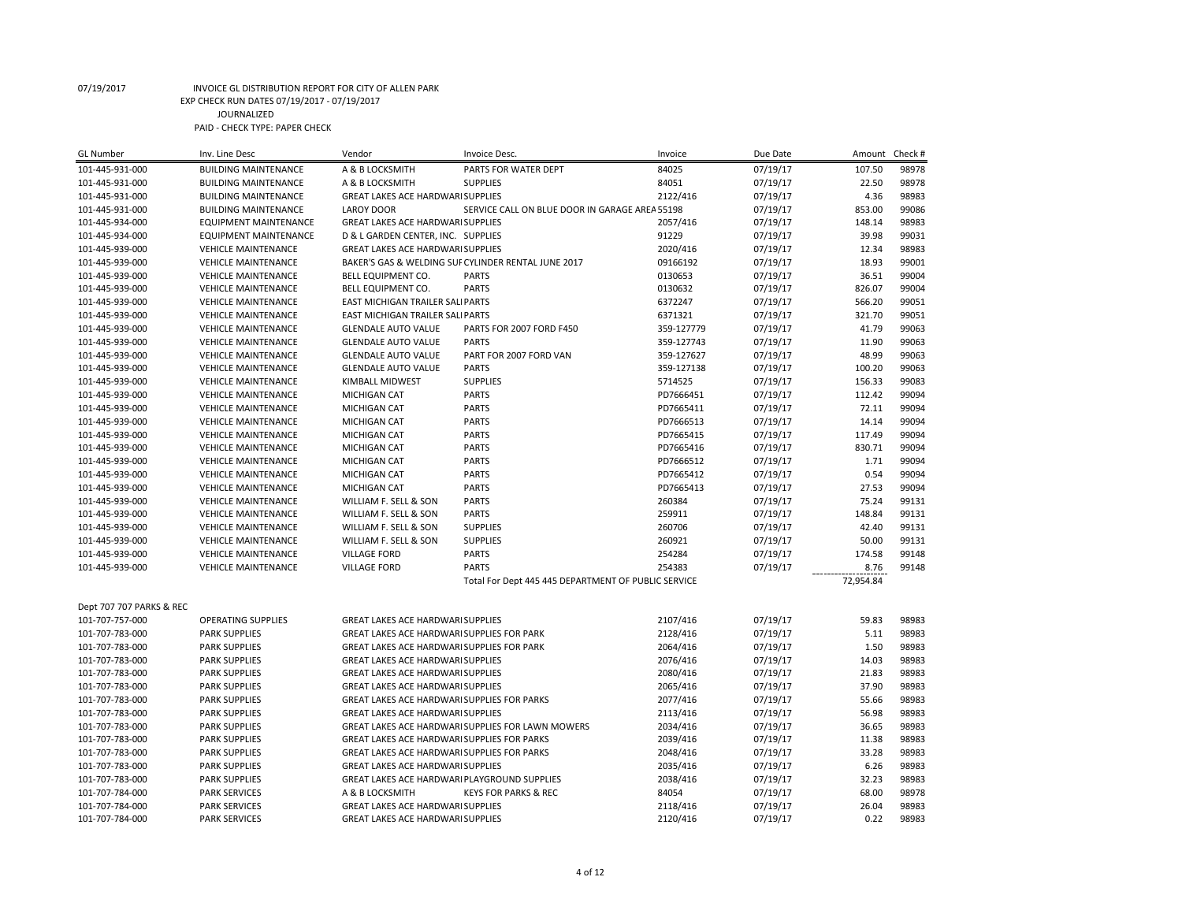| <b>GL Number</b>         | Inv. Line Desc               | Vendor                                             | Invoice Desc.                                       | Invoice    | Due Date | Amount    | Check # |
|--------------------------|------------------------------|----------------------------------------------------|-----------------------------------------------------|------------|----------|-----------|---------|
| 101-445-931-000          | <b>BUILDING MAINTENANCE</b>  | A & B LOCKSMITH                                    | PARTS FOR WATER DEPT                                | 84025      | 07/19/17 | 107.50    | 98978   |
| 101-445-931-000          | <b>BUILDING MAINTENANCE</b>  | A & B LOCKSMITH                                    | <b>SUPPLIES</b>                                     | 84051      | 07/19/17 | 22.50     | 98978   |
| 101-445-931-000          | <b>BUILDING MAINTENANCE</b>  | <b>GREAT LAKES ACE HARDWARI SUPPLIES</b>           |                                                     | 2122/416   | 07/19/17 | 4.36      | 98983   |
| 101-445-931-000          | <b>BUILDING MAINTENANCE</b>  | <b>LAROY DOOR</b>                                  | SERVICE CALL ON BLUE DOOR IN GARAGE AREA 55198      |            | 07/19/17 | 853.00    | 99086   |
| 101-445-934-000          | <b>EQUIPMENT MAINTENANCE</b> | <b>GREAT LAKES ACE HARDWARI SUPPLIES</b>           |                                                     | 2057/416   | 07/19/17 | 148.14    | 98983   |
| 101-445-934-000          | <b>EQUIPMENT MAINTENANCE</b> | D & L GARDEN CENTER, INC. SUPPLIES                 |                                                     | 91229      | 07/19/17 | 39.98     | 99031   |
| 101-445-939-000          | <b>VEHICLE MAINTENANCE</b>   | GREAT LAKES ACE HARDWARI SUPPLIES                  |                                                     | 2020/416   | 07/19/17 | 12.34     | 98983   |
| 101-445-939-000          | <b>VEHICLE MAINTENANCE</b>   |                                                    | BAKER'S GAS & WELDING SUF CYLINDER RENTAL JUNE 2017 | 09166192   | 07/19/17 | 18.93     | 99001   |
| 101-445-939-000          | <b>VEHICLE MAINTENANCE</b>   | <b>BELL EQUIPMENT CO.</b>                          | <b>PARTS</b>                                        | 0130653    | 07/19/17 | 36.51     | 99004   |
| 101-445-939-000          | <b>VEHICLE MAINTENANCE</b>   | <b>BELL EQUIPMENT CO.</b>                          | <b>PARTS</b>                                        | 0130632    | 07/19/17 | 826.07    | 99004   |
| 101-445-939-000          | <b>VEHICLE MAINTENANCE</b>   | EAST MICHIGAN TRAILER SALIPARTS                    |                                                     | 6372247    | 07/19/17 | 566.20    | 99051   |
| 101-445-939-000          | <b>VEHICLE MAINTENANCE</b>   | EAST MICHIGAN TRAILER SALIPARTS                    |                                                     | 6371321    | 07/19/17 | 321.70    | 99051   |
| 101-445-939-000          | <b>VEHICLE MAINTENANCE</b>   | <b>GLENDALE AUTO VALUE</b>                         | PARTS FOR 2007 FORD F450                            | 359-127779 | 07/19/17 | 41.79     | 99063   |
| 101-445-939-000          | <b>VEHICLE MAINTENANCE</b>   | <b>GLENDALE AUTO VALUE</b>                         | <b>PARTS</b>                                        | 359-127743 | 07/19/17 | 11.90     | 99063   |
| 101-445-939-000          | <b>VEHICLE MAINTENANCE</b>   | <b>GLENDALE AUTO VALUE</b>                         | PART FOR 2007 FORD VAN                              | 359-127627 | 07/19/17 | 48.99     | 99063   |
| 101-445-939-000          | <b>VEHICLE MAINTENANCE</b>   | <b>GLENDALE AUTO VALUE</b>                         | <b>PARTS</b>                                        | 359-127138 | 07/19/17 | 100.20    | 99063   |
| 101-445-939-000          | <b>VEHICLE MAINTENANCE</b>   | KIMBALL MIDWEST                                    | <b>SUPPLIES</b>                                     | 5714525    | 07/19/17 | 156.33    | 99083   |
| 101-445-939-000          | <b>VEHICLE MAINTENANCE</b>   | MICHIGAN CAT                                       | <b>PARTS</b>                                        | PD7666451  | 07/19/17 | 112.42    | 99094   |
| 101-445-939-000          | <b>VEHICLE MAINTENANCE</b>   | MICHIGAN CAT                                       | <b>PARTS</b>                                        | PD7665411  | 07/19/17 | 72.11     | 99094   |
| 101-445-939-000          | <b>VEHICLE MAINTENANCE</b>   | MICHIGAN CAT                                       | <b>PARTS</b>                                        | PD7666513  | 07/19/17 | 14.14     | 99094   |
| 101-445-939-000          | <b>VEHICLE MAINTENANCE</b>   | MICHIGAN CAT                                       | <b>PARTS</b>                                        | PD7665415  | 07/19/17 | 117.49    | 99094   |
| 101-445-939-000          | <b>VEHICLE MAINTENANCE</b>   | MICHIGAN CAT                                       | <b>PARTS</b>                                        | PD7665416  | 07/19/17 | 830.71    | 99094   |
| 101-445-939-000          | <b>VEHICLE MAINTENANCE</b>   | MICHIGAN CAT                                       | <b>PARTS</b>                                        | PD7666512  | 07/19/17 | 1.71      | 99094   |
| 101-445-939-000          | <b>VEHICLE MAINTENANCE</b>   | MICHIGAN CAT                                       | <b>PARTS</b>                                        | PD7665412  | 07/19/17 | 0.54      | 99094   |
| 101-445-939-000          | <b>VEHICLE MAINTENANCE</b>   | MICHIGAN CAT                                       | <b>PARTS</b>                                        | PD7665413  | 07/19/17 | 27.53     | 99094   |
| 101-445-939-000          | <b>VEHICLE MAINTENANCE</b>   | WILLIAM F. SELL & SON                              | <b>PARTS</b>                                        | 260384     | 07/19/17 | 75.24     | 99131   |
| 101-445-939-000          | <b>VEHICLE MAINTENANCE</b>   | WILLIAM F. SELL & SON                              | <b>PARTS</b>                                        | 259911     | 07/19/17 | 148.84    | 99131   |
| 101-445-939-000          | <b>VEHICLE MAINTENANCE</b>   | WILLIAM F. SELL & SON                              | <b>SUPPLIES</b>                                     | 260706     | 07/19/17 | 42.40     | 99131   |
| 101-445-939-000          | <b>VEHICLE MAINTENANCE</b>   | WILLIAM F. SELL & SON                              | <b>SUPPLIES</b>                                     | 260921     | 07/19/17 | 50.00     | 99131   |
| 101-445-939-000          | <b>VEHICLE MAINTENANCE</b>   | <b>VILLAGE FORD</b>                                | <b>PARTS</b>                                        | 254284     | 07/19/17 | 174.58    | 99148   |
| 101-445-939-000          | <b>VEHICLE MAINTENANCE</b>   | <b>VILLAGE FORD</b>                                | <b>PARTS</b>                                        | 254383     | 07/19/17 | 8.76      | 99148   |
|                          |                              |                                                    | Total For Dept 445 445 DEPARTMENT OF PUBLIC SERVICE |            |          | 72,954.84 |         |
| Dept 707 707 PARKS & REC |                              |                                                    |                                                     |            |          |           |         |
| 101-707-757-000          | <b>OPERATING SUPPLIES</b>    | <b>GREAT LAKES ACE HARDWARI SUPPLIES</b>           |                                                     | 2107/416   | 07/19/17 | 59.83     | 98983   |
| 101-707-783-000          | <b>PARK SUPPLIES</b>         | GREAT LAKES ACE HARDWARI SUPPLIES FOR PARK         |                                                     | 2128/416   | 07/19/17 | 5.11      | 98983   |
| 101-707-783-000          | <b>PARK SUPPLIES</b>         | GREAT LAKES ACE HARDWARI SUPPLIES FOR PARK         |                                                     | 2064/416   | 07/19/17 | 1.50      | 98983   |
| 101-707-783-000          | <b>PARK SUPPLIES</b>         | <b>GREAT LAKES ACE HARDWARI SUPPLIES</b>           |                                                     | 2076/416   | 07/19/17 | 14.03     | 98983   |
| 101-707-783-000          | <b>PARK SUPPLIES</b>         | <b>GREAT LAKES ACE HARDWARI SUPPLIES</b>           |                                                     | 2080/416   | 07/19/17 | 21.83     | 98983   |
| 101-707-783-000          | <b>PARK SUPPLIES</b>         | <b>GREAT LAKES ACE HARDWARI SUPPLIES</b>           |                                                     | 2065/416   | 07/19/17 | 37.90     | 98983   |
| 101-707-783-000          | <b>PARK SUPPLIES</b>         | GREAT LAKES ACE HARDWARI SUPPLIES FOR PARKS        |                                                     | 2077/416   | 07/19/17 | 55.66     | 98983   |
| 101-707-783-000          | <b>PARK SUPPLIES</b>         | <b>GREAT LAKES ACE HARDWARI SUPPLIES</b>           |                                                     | 2113/416   | 07/19/17 | 56.98     | 98983   |
| 101-707-783-000          | <b>PARK SUPPLIES</b>         |                                                    | GREAT LAKES ACE HARDWARI SUPPLIES FOR LAWN MOWERS   | 2034/416   | 07/19/17 | 36.65     | 98983   |
| 101-707-783-000          | <b>PARK SUPPLIES</b>         | <b>GREAT LAKES ACE HARDWARI SUPPLIES FOR PARKS</b> |                                                     | 2039/416   | 07/19/17 | 11.38     | 98983   |
| 101-707-783-000          | <b>PARK SUPPLIES</b>         | GREAT LAKES ACE HARDWARI SUPPLIES FOR PARKS        |                                                     | 2048/416   | 07/19/17 | 33.28     | 98983   |
| 101-707-783-000          | <b>PARK SUPPLIES</b>         | <b>GREAT LAKES ACE HARDWARI SUPPLIES</b>           |                                                     | 2035/416   | 07/19/17 | 6.26      | 98983   |
| 101-707-783-000          | <b>PARK SUPPLIES</b>         | GREAT LAKES ACE HARDWARI PLAYGROUND SUPPLIES       |                                                     | 2038/416   | 07/19/17 | 32.23     | 98983   |
| 101-707-784-000          | <b>PARK SERVICES</b>         | A & B LOCKSMITH                                    | <b>KEYS FOR PARKS &amp; REC</b>                     | 84054      | 07/19/17 | 68.00     | 98978   |
| 101-707-784-000          | <b>PARK SERVICES</b>         | <b>GREAT LAKES ACE HARDWARI SUPPLIES</b>           |                                                     | 2118/416   | 07/19/17 | 26.04     | 98983   |
| 101-707-784-000          | <b>PARK SERVICES</b>         | <b>GREAT LAKES ACE HARDWARI SUPPLIES</b>           |                                                     | 2120/416   | 07/19/17 | 0.22      | 98983   |
|                          |                              |                                                    |                                                     |            |          |           |         |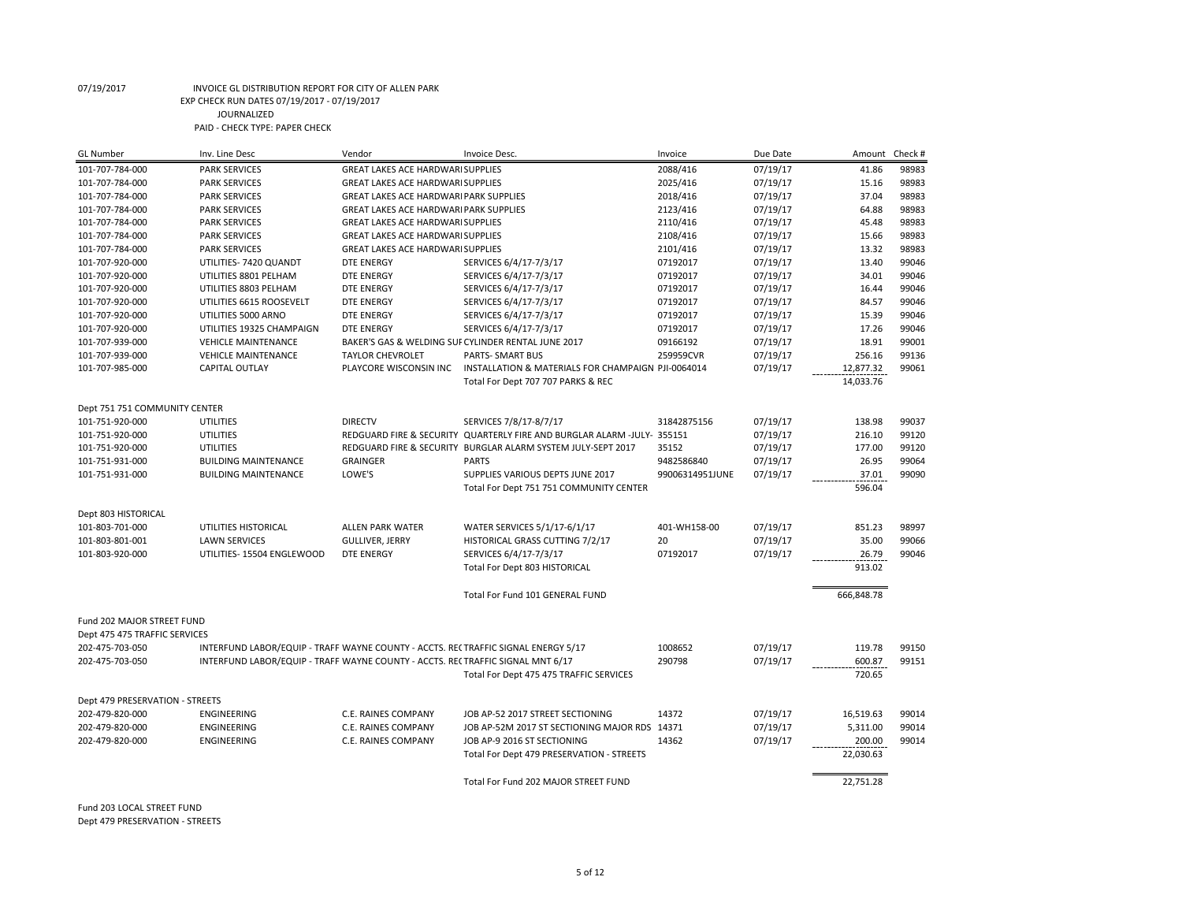| <b>GL Number</b>                   | Inv. Line Desc                                                                    | Vendor                                            | Invoice Desc.                                                           | Invoice         | Due Date             | Amount          | Check # |
|------------------------------------|-----------------------------------------------------------------------------------|---------------------------------------------------|-------------------------------------------------------------------------|-----------------|----------------------|-----------------|---------|
| 101-707-784-000                    | <b>PARK SERVICES</b>                                                              | <b>GREAT LAKES ACE HARDWARI SUPPLIES</b>          |                                                                         | 2088/416        | 07/19/17             | 41.86           | 98983   |
| 101-707-784-000                    | <b>PARK SERVICES</b>                                                              | <b>GREAT LAKES ACE HARDWARI SUPPLIES</b>          |                                                                         | 2025/416        | 07/19/17             | 15.16           | 98983   |
| 101-707-784-000                    | <b>PARK SERVICES</b>                                                              | <b>GREAT LAKES ACE HARDWARI PARK SUPPLIES</b>     |                                                                         | 2018/416        | 07/19/17             | 37.04           | 98983   |
| 101-707-784-000                    | <b>PARK SERVICES</b>                                                              | <b>GREAT LAKES ACE HARDWARI PARK SUPPLIES</b>     |                                                                         | 2123/416        | 07/19/17             | 64.88           | 98983   |
| 101-707-784-000                    | <b>PARK SERVICES</b>                                                              | <b>GREAT LAKES ACE HARDWARI SUPPLIES</b>          |                                                                         | 2110/416        | 07/19/17             | 45.48           | 98983   |
| 101-707-784-000                    | <b>PARK SERVICES</b>                                                              | <b>GREAT LAKES ACE HARDWARI SUPPLIES</b>          |                                                                         | 2108/416        | 07/19/17             | 15.66           | 98983   |
| 101-707-784-000                    | <b>PARK SERVICES</b>                                                              | <b>GREAT LAKES ACE HARDWARI SUPPLIES</b>          |                                                                         | 2101/416        | 07/19/17             | 13.32           | 98983   |
| 101-707-920-000                    | UTILITIES- 7420 QUANDT                                                            | <b>DTE ENERGY</b>                                 | SERVICES 6/4/17-7/3/17                                                  | 07192017        | 07/19/17             | 13.40           | 99046   |
| 101-707-920-000                    | UTILITIES 8801 PELHAM                                                             | <b>DTE ENERGY</b>                                 | SERVICES 6/4/17-7/3/17                                                  | 07192017        | 07/19/17             | 34.01           | 99046   |
| 101-707-920-000                    | UTILITIES 8803 PELHAM                                                             | <b>DTE ENERGY</b>                                 | SERVICES 6/4/17-7/3/17                                                  | 07192017        | 07/19/17             | 16.44           | 99046   |
| 101-707-920-000                    | UTILITIES 6615 ROOSEVELT                                                          | DTE ENERGY                                        | SERVICES 6/4/17-7/3/17                                                  | 07192017        | 07/19/17             | 84.57           | 99046   |
| 101-707-920-000                    | UTILITIES 5000 ARNO                                                               | <b>DTE ENERGY</b>                                 | SERVICES 6/4/17-7/3/17                                                  | 07192017        | 07/19/17             | 15.39           | 99046   |
| 101-707-920-000                    | UTILITIES 19325 CHAMPAIGN                                                         | <b>DTE ENERGY</b>                                 | SERVICES 6/4/17-7/3/17                                                  | 07192017        | 07/19/17             | 17.26           | 99046   |
| 101-707-939-000                    | <b>VEHICLE MAINTENANCE</b>                                                        |                                                   | BAKER'S GAS & WELDING SUF CYLINDER RENTAL JUNE 2017                     | 09166192        | 07/19/17             | 18.91           | 99001   |
| 101-707-939-000                    | <b>VEHICLE MAINTENANCE</b>                                                        | <b>TAYLOR CHEVROLET</b>                           | PARTS- SMART BUS                                                        | 259959CVR       | 07/19/17             | 256.16          | 99136   |
| 101-707-985-000                    | <b>CAPITAL OUTLAY</b>                                                             | PLAYCORE WISCONSIN INC                            | INSTALLATION & MATERIALS FOR CHAMPAIGN PJI-0064014                      |                 | 07/19/17             | 12,877.32       | 99061   |
|                                    |                                                                                   |                                                   | Total For Dept 707 707 PARKS & REC                                      |                 |                      | 14,033.76       |         |
|                                    |                                                                                   |                                                   |                                                                         |                 |                      |                 |         |
| Dept 751 751 COMMUNITY CENTER      |                                                                                   |                                                   |                                                                         |                 |                      |                 |         |
| 101-751-920-000                    | <b>UTILITIES</b>                                                                  | <b>DIRECTV</b>                                    | SERVICES 7/8/17-8/7/17                                                  | 31842875156     | 07/19/17             | 138.98          | 99037   |
| 101-751-920-000                    | <b>UTILITIES</b>                                                                  |                                                   | REDGUARD FIRE & SECURITY QUARTERLY FIRE AND BURGLAR ALARM -JULY- 355151 |                 | 07/19/17             | 216.10          | 99120   |
| 101-751-920-000                    | <b>UTILITIES</b>                                                                  |                                                   | REDGUARD FIRE & SECURITY BURGLAR ALARM SYSTEM JULY-SEPT 2017            | 35152           | 07/19/17             | 177.00          | 99120   |
| 101-751-931-000                    | <b>BUILDING MAINTENANCE</b>                                                       | <b>GRAINGER</b>                                   | <b>PARTS</b>                                                            | 9482586840      | 07/19/17             | 26.95           | 99064   |
| 101-751-931-000                    | <b>BUILDING MAINTENANCE</b>                                                       | LOWE'S                                            | SUPPLIES VARIOUS DEPTS JUNE 2017                                        | 99006314951JUNE |                      | 37.01           | 99090   |
|                                    |                                                                                   |                                                   |                                                                         |                 | 07/19/17             |                 |         |
|                                    |                                                                                   |                                                   | Total For Dept 751 751 COMMUNITY CENTER                                 |                 |                      | 596.04          |         |
| Dept 803 HISTORICAL                |                                                                                   |                                                   |                                                                         |                 |                      |                 |         |
|                                    |                                                                                   |                                                   |                                                                         | 401-WH158-00    |                      |                 | 98997   |
| 101-803-701-000<br>101-803-801-001 | UTILITIES HISTORICAL<br><b>LAWN SERVICES</b>                                      | <b>ALLEN PARK WATER</b><br><b>GULLIVER, JERRY</b> | WATER SERVICES 5/1/17-6/1/17                                            | 20              | 07/19/17<br>07/19/17 | 851.23<br>35.00 | 99066   |
|                                    |                                                                                   |                                                   | HISTORICAL GRASS CUTTING 7/2/17                                         |                 |                      |                 |         |
| 101-803-920-000                    | UTILITIES- 15504 ENGLEWOOD                                                        | <b>DTE ENERGY</b>                                 | SERVICES 6/4/17-7/3/17                                                  | 07192017        | 07/19/17             | 26.79           | 99046   |
|                                    |                                                                                   |                                                   | Total For Dept 803 HISTORICAL                                           |                 |                      | 913.02          |         |
|                                    |                                                                                   |                                                   |                                                                         |                 |                      |                 |         |
|                                    |                                                                                   |                                                   | Total For Fund 101 GENERAL FUND                                         |                 |                      | 666,848.78      |         |
| Fund 202 MAJOR STREET FUND         |                                                                                   |                                                   |                                                                         |                 |                      |                 |         |
|                                    |                                                                                   |                                                   |                                                                         |                 |                      |                 |         |
| Dept 475 475 TRAFFIC SERVICES      |                                                                                   |                                                   |                                                                         |                 |                      |                 |         |
| 202-475-703-050                    | INTERFUND LABOR/EQUIP - TRAFF WAYNE COUNTY - ACCTS. RECTRAFFIC SIGNAL ENERGY 5/17 |                                                   |                                                                         | 1008652         | 07/19/17             | 119.78          | 99150   |
| 202-475-703-050                    | INTERFUND LABOR/EQUIP - TRAFF WAYNE COUNTY - ACCTS. RECTRAFFIC SIGNAL MNT 6/17    |                                                   |                                                                         | 290798          | 07/19/17             | 600.87          | 99151   |
|                                    |                                                                                   |                                                   | Total For Dept 475 475 TRAFFIC SERVICES                                 |                 |                      | 720.65          |         |
|                                    |                                                                                   |                                                   |                                                                         |                 |                      |                 |         |
| Dept 479 PRESERVATION - STREETS    |                                                                                   |                                                   |                                                                         |                 |                      |                 |         |
| 202-479-820-000                    | ENGINEERING                                                                       | C.E. RAINES COMPANY                               | JOB AP-52 2017 STREET SECTIONING                                        | 14372           | 07/19/17             | 16,519.63       | 99014   |
| 202-479-820-000                    | <b>ENGINEERING</b>                                                                | C.E. RAINES COMPANY                               | JOB AP-52M 2017 ST SECTIONING MAJOR RDS 14371                           |                 | 07/19/17             | 5,311.00        | 99014   |
| 202-479-820-000                    | ENGINEERING                                                                       | <b>C.E. RAINES COMPANY</b>                        | JOB AP-9 2016 ST SECTIONING                                             | 14362           | 07/19/17             | 200.00          | 99014   |
|                                    |                                                                                   |                                                   | Total For Dept 479 PRESERVATION - STREETS                               |                 |                      | 22,030.63       |         |
|                                    |                                                                                   |                                                   |                                                                         |                 |                      |                 |         |
|                                    |                                                                                   |                                                   | Total For Fund 202 MAJOR STREET FUND                                    |                 |                      | 22,751.28       |         |

Fund 203 LOCAL STREET FUND Dept 479 PRESERVATION - STREETS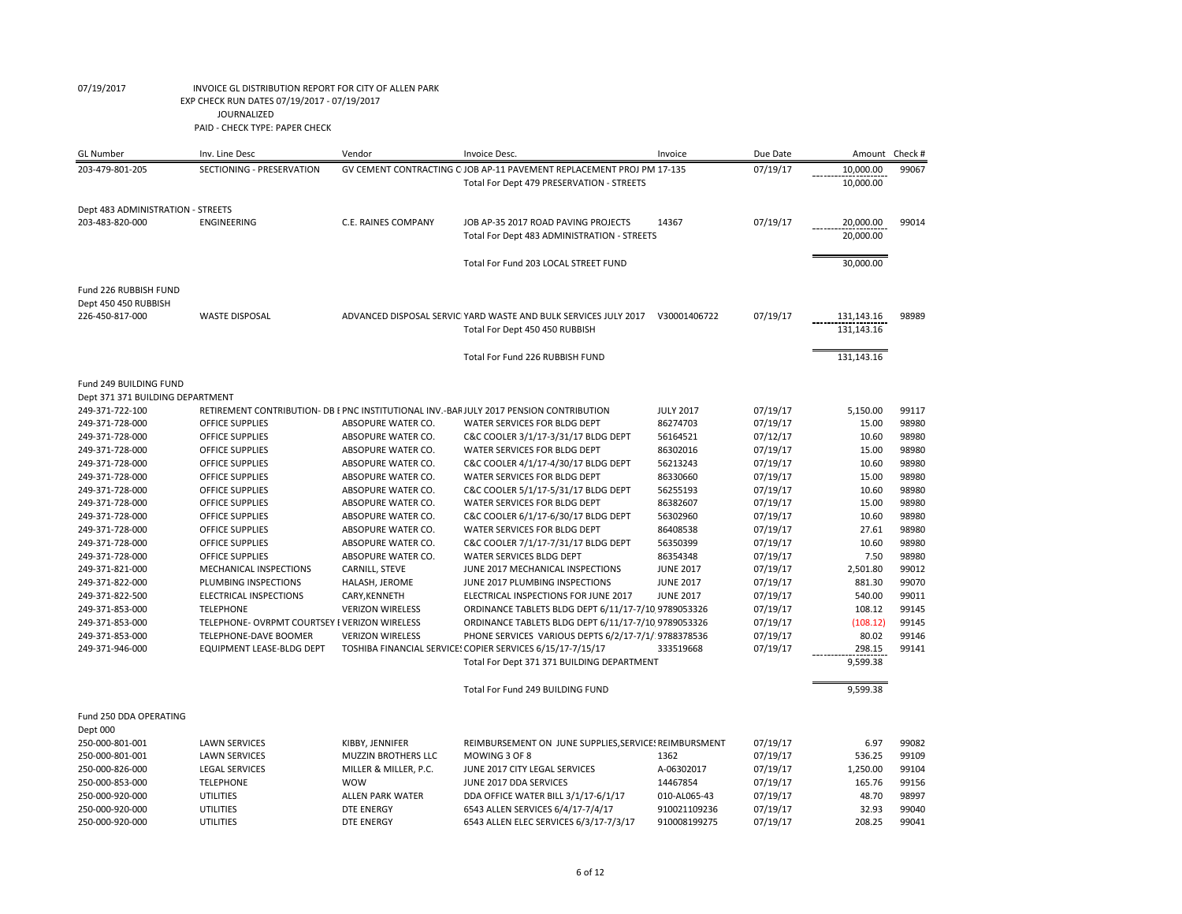| <b>GL</b> Number                  | Inv. Line Desc                                | Vendor                     | Invoice Desc.                                                                         | Invoice          | Due Date | Amount     | Check #        |
|-----------------------------------|-----------------------------------------------|----------------------------|---------------------------------------------------------------------------------------|------------------|----------|------------|----------------|
| 203-479-801-205                   | SECTIONING - PRESERVATION                     |                            | GV CEMENT CONTRACTING C JOB AP-11 PAVEMENT REPLACEMENT PROJ PM 17-135                 |                  | 07/19/17 | 10,000.00  | 99067          |
|                                   |                                               |                            | Total For Dept 479 PRESERVATION - STREETS                                             |                  |          | 10,000.00  |                |
|                                   |                                               |                            |                                                                                       |                  |          |            |                |
| Dept 483 ADMINISTRATION - STREETS |                                               |                            |                                                                                       |                  |          |            |                |
| 203-483-820-000                   | <b>ENGINEERING</b>                            | <b>C.E. RAINES COMPANY</b> | JOB AP-35 2017 ROAD PAVING PROJECTS                                                   | 14367            | 07/19/17 | 20,000.00  | 99014          |
|                                   |                                               |                            | Total For Dept 483 ADMINISTRATION - STREETS                                           |                  |          | 20,000.00  |                |
|                                   |                                               |                            |                                                                                       |                  |          |            |                |
|                                   |                                               |                            | Total For Fund 203 LOCAL STREET FUND                                                  |                  |          | 30,000.00  |                |
|                                   |                                               |                            |                                                                                       |                  |          |            |                |
| Fund 226 RUBBISH FUND             |                                               |                            |                                                                                       |                  |          |            |                |
| Dept 450 450 RUBBISH              |                                               |                            |                                                                                       |                  |          |            |                |
| 226-450-817-000                   | <b>WASTE DISPOSAL</b>                         |                            | ADVANCED DISPOSAL SERVIC YARD WASTE AND BULK SERVICES JULY 2017                       | V30001406722     | 07/19/17 | 131,143.16 | 98989          |
|                                   |                                               |                            | Total For Dept 450 450 RUBBISH                                                        |                  |          | 131,143.16 |                |
|                                   |                                               |                            |                                                                                       |                  |          |            |                |
|                                   |                                               |                            |                                                                                       |                  |          |            |                |
|                                   |                                               |                            | Total For Fund 226 RUBBISH FUND                                                       |                  |          | 131,143.16 |                |
| Fund 249 BUILDING FUND            |                                               |                            |                                                                                       |                  |          |            |                |
| Dept 371 371 BUILDING DEPARTMENT  |                                               |                            |                                                                                       |                  |          |            |                |
| 249-371-722-100                   |                                               |                            | RETIREMENT CONTRIBUTION- DB EPNC INSTITUTIONAL INV.-BARJULY 2017 PENSION CONTRIBUTION | <b>JULY 2017</b> | 07/19/17 | 5,150.00   | 99117          |
| 249-371-728-000                   | <b>OFFICE SUPPLIES</b>                        | ABSOPURE WATER CO.         | WATER SERVICES FOR BLDG DEPT                                                          | 86274703         | 07/19/17 | 15.00      | 98980          |
| 249-371-728-000                   | <b>OFFICE SUPPLIES</b>                        | ABSOPURE WATER CO.         | C&C COOLER 3/1/17-3/31/17 BLDG DEPT                                                   | 56164521         | 07/12/17 | 10.60      | 98980          |
| 249-371-728-000                   | OFFICE SUPPLIES                               | ABSOPURE WATER CO.         | WATER SERVICES FOR BLDG DEPT                                                          | 86302016         | 07/19/17 | 15.00      | 98980          |
| 249-371-728-000                   | OFFICE SUPPLIES                               | ABSOPURE WATER CO.         |                                                                                       | 56213243         |          | 10.60      | 98980          |
|                                   |                                               |                            | C&C COOLER 4/1/17-4/30/17 BLDG DEPT                                                   |                  | 07/19/17 | 15.00      |                |
| 249-371-728-000                   | <b>OFFICE SUPPLIES</b>                        | ABSOPURE WATER CO.         | WATER SERVICES FOR BLDG DEPT                                                          | 86330660         | 07/19/17 | 10.60      | 98980<br>98980 |
| 249-371-728-000                   | OFFICE SUPPLIES                               | ABSOPURE WATER CO.         | C&C COOLER 5/1/17-5/31/17 BLDG DEPT                                                   | 56255193         | 07/19/17 |            |                |
| 249-371-728-000                   | <b>OFFICE SUPPLIES</b>                        | ABSOPURE WATER CO.         | WATER SERVICES FOR BLDG DEPT                                                          | 86382607         | 07/19/17 | 15.00      | 98980          |
| 249-371-728-000                   | OFFICE SUPPLIES                               | ABSOPURE WATER CO.         | C&C COOLER 6/1/17-6/30/17 BLDG DEPT                                                   | 56302960         | 07/19/17 | 10.60      | 98980          |
| 249-371-728-000                   | <b>OFFICE SUPPLIES</b>                        | ABSOPURE WATER CO.         | WATER SERVICES FOR BLDG DEPT                                                          | 86408538         | 07/19/17 | 27.61      | 98980          |
| 249-371-728-000                   | OFFICE SUPPLIES                               | ABSOPURE WATER CO.         | C&C COOLER 7/1/17-7/31/17 BLDG DEPT                                                   | 56350399         | 07/19/17 | 10.60      | 98980          |
| 249-371-728-000                   | OFFICE SUPPLIES                               | ABSOPURE WATER CO.         | WATER SERVICES BLDG DEPT                                                              | 86354348         | 07/19/17 | 7.50       | 98980          |
| 249-371-821-000                   | MECHANICAL INSPECTIONS                        | CARNILL, STEVE             | JUNE 2017 MECHANICAL INSPECTIONS                                                      | <b>JUNE 2017</b> | 07/19/17 | 2,501.80   | 99012          |
| 249-371-822-000                   | PLUMBING INSPECTIONS                          | HALASH, JEROME             | JUNE 2017 PLUMBING INSPECTIONS                                                        | <b>JUNE 2017</b> | 07/19/17 | 881.30     | 99070          |
| 249-371-822-500                   | ELECTRICAL INSPECTIONS                        | CARY, KENNETH              | ELECTRICAL INSPECTIONS FOR JUNE 2017                                                  | <b>JUNE 2017</b> | 07/19/17 | 540.00     | 99011          |
| 249-371-853-000                   | <b>TELEPHONE</b>                              | <b>VERIZON WIRELESS</b>    | ORDINANCE TABLETS BLDG DEPT 6/11/17-7/10 9789053326                                   |                  | 07/19/17 | 108.12     | 99145          |
| 249-371-853-000                   | TELEPHONE- OVRPMT COURTSEY I VERIZON WIRELESS |                            | ORDINANCE TABLETS BLDG DEPT 6/11/17-7/10 9789053326                                   |                  | 07/19/17 | (108.12)   | 99145          |
| 249-371-853-000                   | TELEPHONE-DAVE BOOMER                         | <b>VERIZON WIRELESS</b>    | PHONE SERVICES VARIOUS DEPTS 6/2/17-7/1/ 9788378536                                   |                  | 07/19/17 | 80.02      | 99146          |
| 249-371-946-000                   | EQUIPMENT LEASE-BLDG DEPT                     |                            | TOSHIBA FINANCIAL SERVICE: COPIER SERVICES 6/15/17-7/15/17                            | 333519668        | 07/19/17 | 298.15     | 99141          |
|                                   |                                               |                            | Total For Dept 371 371 BUILDING DEPARTMENT                                            |                  |          | 9,599.38   |                |
|                                   |                                               |                            |                                                                                       |                  |          |            |                |
|                                   |                                               |                            | Total For Fund 249 BUILDING FUND                                                      |                  |          | 9,599.38   |                |
|                                   |                                               |                            |                                                                                       |                  |          |            |                |
| Fund 250 DDA OPERATING            |                                               |                            |                                                                                       |                  |          |            |                |
| Dept 000                          |                                               |                            |                                                                                       |                  |          |            |                |
| 250-000-801-001                   | <b>LAWN SERVICES</b>                          | KIBBY, JENNIFER            | REIMBURSEMENT ON JUNE SUPPLIES, SERVICE! REIMBURSMENT                                 |                  | 07/19/17 | 6.97       | 99082          |
| 250-000-801-001                   | <b>LAWN SERVICES</b>                          | <b>MUZZIN BROTHERS LLC</b> | MOWING 3 OF 8                                                                         | 1362             | 07/19/17 | 536.25     | 99109          |
| 250-000-826-000                   | <b>LEGAL SERVICES</b>                         | MILLER & MILLER, P.C.      | JUNE 2017 CITY LEGAL SERVICES                                                         | A-06302017       | 07/19/17 | 1,250.00   | 99104          |
| 250-000-853-000                   | <b>TELEPHONE</b>                              | <b>WOW</b>                 | JUNE 2017 DDA SERVICES                                                                | 14467854         | 07/19/17 | 165.76     | 99156          |
| 250-000-920-000                   | <b>UTILITIES</b>                              | <b>ALLEN PARK WATER</b>    | DDA OFFICE WATER BILL 3/1/17-6/1/17                                                   | 010-AL065-43     | 07/19/17 | 48.70      | 98997          |
| 250-000-920-000                   | <b>UTILITIES</b>                              | <b>DTE ENERGY</b>          | 6543 ALLEN SERVICES 6/4/17-7/4/17                                                     | 910021109236     | 07/19/17 | 32.93      | 99040          |
| 250-000-920-000                   | <b>UTILITIES</b>                              | <b>DTE ENERGY</b>          | 6543 ALLEN ELEC SERVICES 6/3/17-7/3/17                                                | 910008199275     | 07/19/17 | 208.25     | 99041          |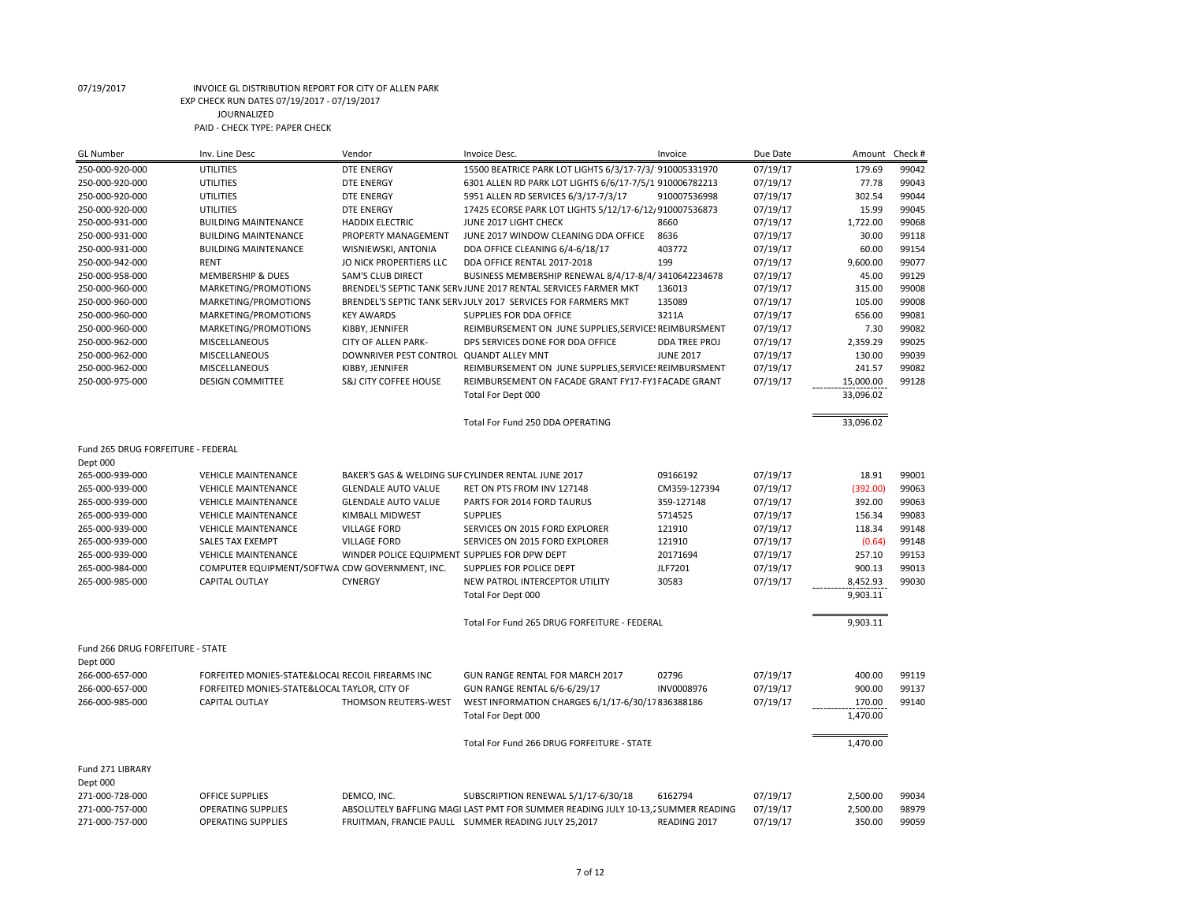| <b>GL Number</b>                   | Inv. Line Desc                                                          | Vendor                                        | Invoice Desc.                                                                    | Invoice          | Due Date             | Amount           | Check # |
|------------------------------------|-------------------------------------------------------------------------|-----------------------------------------------|----------------------------------------------------------------------------------|------------------|----------------------|------------------|---------|
| 250-000-920-000                    | <b>UTILITIES</b>                                                        | DTE ENERGY                                    | 15500 BEATRICE PARK LOT LIGHTS 6/3/17-7/3/ 910005331970                          |                  | 07/19/17             | 179.69           | 99042   |
| 250-000-920-000                    | <b>UTILITIES</b>                                                        | <b>DTE ENERGY</b>                             | 6301 ALLEN RD PARK LOT LIGHTS 6/6/17-7/5/1 910006782213                          |                  | 07/19/17             | 77.78            | 99043   |
| 250-000-920-000                    | <b>UTILITIES</b>                                                        | <b>DTE ENERGY</b>                             | 5951 ALLEN RD SERVICES 6/3/17-7/3/17                                             | 910007536998     | 07/19/17             | 302.54           | 99044   |
| 250-000-920-000                    | <b>UTILITIES</b>                                                        | <b>DTE ENERGY</b>                             | 17425 ECORSE PARK LOT LIGHTS 5/12/17-6/12/910007536873                           |                  | 07/19/17             | 15.99            | 99045   |
| 250-000-931-000                    | <b>BUILDING MAINTENANCE</b>                                             | <b>HADDIX ELECTRIC</b>                        | JUNE 2017 LIGHT CHECK                                                            | 8660             | 07/19/17             | 1,722.00         | 99068   |
| 250-000-931-000                    | <b>BUILDING MAINTENANCE</b>                                             | PROPERTY MANAGEMENT                           | JUNE 2017 WINDOW CLEANING DDA OFFICE                                             | 8636             | 07/19/17             | 30.00            | 99118   |
| 250-000-931-000                    | <b>BUILDING MAINTENANCE</b>                                             | WISNIEWSKI, ANTONIA                           | DDA OFFICE CLEANING 6/4-6/18/17                                                  | 403772           | 07/19/17             | 60.00            | 99154   |
| 250-000-942-000                    | <b>RENT</b>                                                             | JO NICK PROPERTIERS LLC                       | DDA OFFICE RENTAL 2017-2018                                                      | 199              | 07/19/17             | 9,600.00         | 99077   |
| 250-000-958-000                    | <b>MEMBERSHIP &amp; DUES</b>                                            | <b>SAM'S CLUB DIRECT</b>                      | BUSINESS MEMBERSHIP RENEWAL 8/4/17-8/4/3410642234678                             |                  | 07/19/17             | 45.00            | 99129   |
| 250-000-960-000                    | MARKETING/PROMOTIONS                                                    |                                               | BRENDEL'S SEPTIC TANK SERV JUNE 2017 RENTAL SERVICES FARMER MKT                  | 136013           | 07/19/17             | 315.00           | 99008   |
| 250-000-960-000                    | MARKETING/PROMOTIONS                                                    |                                               | BRENDEL'S SEPTIC TANK SERV JULY 2017 SERVICES FOR FARMERS MKT                    | 135089           | 07/19/17             | 105.00           | 99008   |
| 250-000-960-000                    | MARKETING/PROMOTIONS                                                    | <b>KEY AWARDS</b>                             | SUPPLIES FOR DDA OFFICE                                                          | 3211A            | 07/19/17             | 656.00           | 99081   |
| 250-000-960-000                    | MARKETING/PROMOTIONS                                                    | KIBBY, JENNIFER                               | REIMBURSEMENT ON JUNE SUPPLIES, SERVICE: REIMBURSMENT                            |                  | 07/19/17             | 7.30             | 99082   |
| 250-000-962-000                    | MISCELLANEOUS                                                           | <b>CITY OF ALLEN PARK-</b>                    | DPS SERVICES DONE FOR DDA OFFICE                                                 | DDA TREE PROJ    | 07/19/17             | 2,359.29         | 99025   |
| 250-000-962-000                    | MISCELLANEOUS                                                           | DOWNRIVER PEST CONTROL QUANDT ALLEY MNT       |                                                                                  | <b>JUNE 2017</b> | 07/19/17             | 130.00           | 99039   |
| 250-000-962-000                    | MISCELLANEOUS                                                           | KIBBY, JENNIFER                               | REIMBURSEMENT ON JUNE SUPPLIES, SERVICE: REIMBURSMENT                            |                  | 07/19/17             | 241.57           | 99082   |
| 250-000-975-000                    | <b>DESIGN COMMITTEE</b>                                                 | <b>S&amp;J CITY COFFEE HOUSE</b>              | REIMBURSEMENT ON FACADE GRANT FY17-FY1FACADE GRANT                               |                  | 07/19/17             | 15,000.00        | 99128   |
|                                    |                                                                         |                                               | Total For Dept 000                                                               |                  |                      | 33,096.02        |         |
|                                    |                                                                         |                                               |                                                                                  |                  |                      |                  |         |
|                                    |                                                                         |                                               |                                                                                  |                  |                      |                  |         |
|                                    |                                                                         |                                               | Total For Fund 250 DDA OPERATING                                                 |                  |                      | 33,096.02        |         |
| Fund 265 DRUG FORFEITURE - FEDERAL |                                                                         |                                               |                                                                                  |                  |                      |                  |         |
| Dept 000                           |                                                                         |                                               |                                                                                  |                  |                      |                  |         |
| 265-000-939-000                    | <b>VEHICLE MAINTENANCE</b>                                              |                                               | BAKER'S GAS & WELDING SUF CYLINDER RENTAL JUNE 2017                              | 09166192         | 07/19/17             | 18.91            | 99001   |
| 265-000-939-000                    | <b>VEHICLE MAINTENANCE</b>                                              | <b>GLENDALE AUTO VALUE</b>                    | RET ON PTS FROM INV 127148                                                       | CM359-127394     | 07/19/17             | (392.00)         | 99063   |
| 265-000-939-000                    | <b>VEHICLE MAINTENANCE</b>                                              | <b>GLENDALE AUTO VALUE</b>                    | PARTS FOR 2014 FORD TAURUS                                                       | 359-127148       | 07/19/17             | 392.00           | 99063   |
| 265-000-939-000                    | <b>VEHICLE MAINTENANCE</b>                                              | KIMBALL MIDWEST                               | <b>SUPPLIES</b>                                                                  | 5714525          |                      | 156.34           | 99083   |
|                                    | <b>VEHICLE MAINTENANCE</b>                                              |                                               |                                                                                  | 121910           | 07/19/17<br>07/19/17 | 118.34           | 99148   |
| 265-000-939-000                    |                                                                         | <b>VILLAGE FORD</b>                           | SERVICES ON 2015 FORD EXPLORER                                                   |                  |                      |                  | 99148   |
| 265-000-939-000                    | <b>SALES TAX EXEMPT</b>                                                 | <b>VILLAGE FORD</b>                           | SERVICES ON 2015 FORD EXPLORER                                                   | 121910           | 07/19/17             | (0.64)           | 99153   |
| 265-000-939-000                    | <b>VEHICLE MAINTENANCE</b>                                              | WINDER POLICE EQUIPMENT SUPPLIES FOR DPW DEPT |                                                                                  | 20171694         | 07/19/17             | 257.10<br>900.13 | 99013   |
| 265-000-984-000                    | COMPUTER EQUIPMENT/SOFTWA CDW GOVERNMENT, INC.<br><b>CAPITAL OUTLAY</b> | <b>CYNERGY</b>                                | SUPPLIES FOR POLICE DEPT                                                         | JLF7201<br>30583 | 07/19/17             |                  | 99030   |
| 265-000-985-000                    |                                                                         |                                               | NEW PATROL INTERCEPTOR UTILITY                                                   |                  | 07/19/17             | 8,452.93         |         |
|                                    |                                                                         |                                               | Total For Dept 000                                                               |                  |                      | 9,903.11         |         |
|                                    |                                                                         |                                               |                                                                                  |                  |                      |                  |         |
|                                    |                                                                         |                                               | Total For Fund 265 DRUG FORFEITURE - FEDERAL                                     |                  |                      | 9,903.11         |         |
| Fund 266 DRUG FORFEITURE - STATE   |                                                                         |                                               |                                                                                  |                  |                      |                  |         |
| Dept 000                           |                                                                         |                                               |                                                                                  |                  |                      |                  |         |
| 266-000-657-000                    | FORFEITED MONIES-STATE&LOCAL RECOIL FIREARMS INC                        |                                               | <b>GUN RANGE RENTAL FOR MARCH 2017</b>                                           | 02796            | 07/19/17             | 400.00           | 99119   |
|                                    |                                                                         |                                               |                                                                                  |                  |                      |                  |         |
| 266-000-657-000                    | FORFEITED MONIES-STATE&LOCAL TAYLOR, CITY OF                            |                                               | GUN RANGE RENTAL 6/6-6/29/17                                                     | INV0008976       | 07/19/17             | 900.00           | 99137   |
| 266-000-985-000                    | <b>CAPITAL OUTLAY</b>                                                   | THOMSON REUTERS-WEST                          | WEST INFORMATION CHARGES 6/1/17-6/30/17836388186                                 |                  | 07/19/17             | 170.00           | 99140   |
|                                    |                                                                         |                                               | Total For Dept 000                                                               |                  |                      | 1,470.00         |         |
|                                    |                                                                         |                                               |                                                                                  |                  |                      |                  |         |
|                                    |                                                                         |                                               | Total For Fund 266 DRUG FORFEITURE - STATE                                       |                  |                      | 1,470.00         |         |
|                                    |                                                                         |                                               |                                                                                  |                  |                      |                  |         |
| Fund 271 LIBRARY                   |                                                                         |                                               |                                                                                  |                  |                      |                  |         |
| Dept 000                           |                                                                         |                                               |                                                                                  |                  |                      |                  |         |
| 271-000-728-000                    | OFFICE SUPPLIES                                                         | DEMCO, INC.                                   | SUBSCRIPTION RENEWAL 5/1/17-6/30/18                                              | 6162794          | 07/19/17             | 2,500.00         | 99034   |
| 271-000-757-000                    | <b>OPERATING SUPPLIES</b>                                               |                                               | ABSOLUTELY BAFFLING MAGI LAST PMT FOR SUMMER READING JULY 10-13,2 SUMMER READING |                  | 07/19/17             | 2,500.00         | 98979   |
| 271-000-757-000                    | <b>OPERATING SUPPLIES</b>                                               |                                               | FRUITMAN, FRANCIE PAULL SUMMER READING JULY 25.2017                              | READING 2017     | 07/19/17             | 350.00           | 99059   |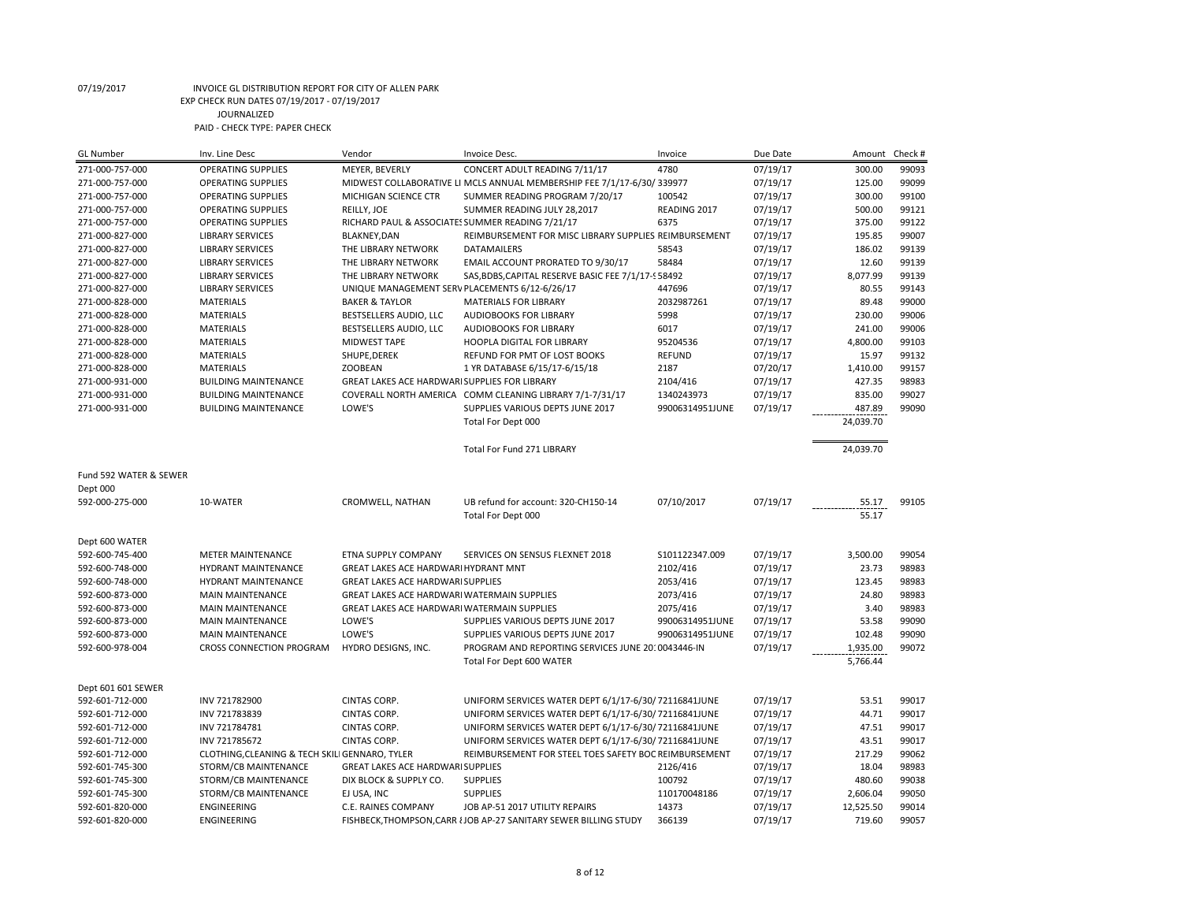| <b>GL Number</b>                   | Inv. Line Desc                                 | Vendor                                               | <b>Invoice Desc.</b>                                                                              | Invoice         | Due Date             | Amount              | Check #        |
|------------------------------------|------------------------------------------------|------------------------------------------------------|---------------------------------------------------------------------------------------------------|-----------------|----------------------|---------------------|----------------|
| 271-000-757-000                    | <b>OPERATING SUPPLIES</b>                      | MEYER, BEVERLY                                       | CONCERT ADULT READING 7/11/17                                                                     | 4780            | 07/19/17             | 300.00              | 99093          |
| 271-000-757-000                    | <b>OPERATING SUPPLIES</b>                      |                                                      | MIDWEST COLLABORATIVE LI MCLS ANNUAL MEMBERSHIP FEE 7/1/17-6/30/339977                            |                 | 07/19/17             | 125.00              | 99099          |
| 271-000-757-000                    | <b>OPERATING SUPPLIES</b>                      | MICHIGAN SCIENCE CTR                                 | SUMMER READING PROGRAM 7/20/17                                                                    | 100542          | 07/19/17             | 300.00              | 99100          |
| 271-000-757-000                    | <b>OPERATING SUPPLIES</b>                      | REILLY, JOE                                          | SUMMER READING JULY 28,2017                                                                       | READING 2017    | 07/19/17             | 500.00              | 99121          |
| 271-000-757-000                    | <b>OPERATING SUPPLIES</b>                      | RICHARD PAUL & ASSOCIATES SUMMER READING 7/21/17     |                                                                                                   | 6375            | 07/19/17             | 375.00              | 99122          |
| 271-000-827-000                    | <b>LIBRARY SERVICES</b>                        | <b>BLAKNEY, DAN</b>                                  | REIMBURSEMENT FOR MISC LIBRARY SUPPLIES REIMBURSEMENT                                             |                 | 07/19/17             | 195.85              | 99007          |
| 271-000-827-000                    | <b>LIBRARY SERVICES</b>                        | THE LIBRARY NETWORK                                  | <b>DATAMAILERS</b>                                                                                | 58543           | 07/19/17             | 186.02              | 99139          |
| 271-000-827-000                    | <b>LIBRARY SERVICES</b>                        | THE LIBRARY NETWORK                                  | EMAIL ACCOUNT PRORATED TO 9/30/17                                                                 | 58484           | 07/19/17             | 12.60               | 99139          |
| 271-000-827-000                    | <b>LIBRARY SERVICES</b>                        | THE LIBRARY NETWORK                                  | SAS, BDBS, CAPITAL RESERVE BASIC FEE 7/1/17-958492                                                |                 | 07/19/17             | 8,077.99            | 99139          |
| 271-000-827-000                    | <b>LIBRARY SERVICES</b>                        | UNIQUE MANAGEMENT SERV PLACEMENTS 6/12-6/26/17       |                                                                                                   | 447696          | 07/19/17             | 80.55               | 99143          |
| 271-000-828-000                    | <b>MATERIALS</b>                               | <b>BAKER &amp; TAYLOR</b>                            | <b>MATERIALS FOR LIBRARY</b>                                                                      | 2032987261      | 07/19/17             | 89.48               | 99000          |
| 271-000-828-000                    | <b>MATERIALS</b>                               | BESTSELLERS AUDIO, LLC                               | AUDIOBOOKS FOR LIBRARY                                                                            | 5998            | 07/19/17             | 230.00              | 99006          |
| 271-000-828-000                    | <b>MATERIALS</b>                               | BESTSELLERS AUDIO, LLC                               | AUDIOBOOKS FOR LIBRARY                                                                            | 6017            | 07/19/17             | 241.00              | 99006          |
| 271-000-828-000                    | <b>MATERIALS</b>                               | MIDWEST TAPE                                         | <b>HOOPLA DIGITAL FOR LIBRARY</b>                                                                 | 95204536        | 07/19/17             | 4,800.00            | 99103          |
| 271-000-828-000                    | <b>MATERIALS</b>                               | SHUPE, DEREK                                         | REFUND FOR PMT OF LOST BOOKS                                                                      | <b>REFUND</b>   | 07/19/17             | 15.97               | 99132          |
| 271-000-828-000                    | <b>MATERIALS</b>                               | <b>ZOOBEAN</b>                                       | 1 YR DATABASE 6/15/17-6/15/18                                                                     | 2187            | 07/20/17             | 1,410.00            | 99157          |
| 271-000-931-000                    | <b>BUILDING MAINTENANCE</b>                    | <b>GREAT LAKES ACE HARDWARI SUPPLIES FOR LIBRARY</b> |                                                                                                   | 2104/416        | 07/19/17             | 427.35              | 98983          |
| 271-000-931-000                    | <b>BUILDING MAINTENANCE</b>                    |                                                      | COVERALL NORTH AMERICA COMM CLEANING LIBRARY 7/1-7/31/17                                          | 1340243973      | 07/19/17             | 835.00              | 99027          |
| 271-000-931-000                    | <b>BUILDING MAINTENANCE</b>                    | LOWE'S                                               | SUPPLIES VARIOUS DEPTS JUNE 2017                                                                  | 99006314951JUNE |                      | 487.89              | 99090          |
|                                    |                                                |                                                      |                                                                                                   |                 | 07/19/17             |                     |                |
|                                    |                                                |                                                      | Total For Dept 000                                                                                |                 |                      | 24,039.70           |                |
|                                    |                                                |                                                      | Total For Fund 271 LIBRARY                                                                        |                 |                      | 24,039.70           |                |
|                                    |                                                |                                                      |                                                                                                   |                 |                      |                     |                |
| Fund 592 WATER & SEWER             |                                                |                                                      |                                                                                                   |                 |                      |                     |                |
| Dept 000                           |                                                |                                                      |                                                                                                   |                 |                      |                     |                |
|                                    |                                                |                                                      |                                                                                                   |                 |                      |                     |                |
|                                    |                                                |                                                      |                                                                                                   |                 |                      |                     |                |
| 592-000-275-000                    | 10-WATER                                       | CROMWELL, NATHAN                                     | UB refund for account: 320-CH150-14                                                               | 07/10/2017      | 07/19/17             | 55.17               | 99105          |
|                                    |                                                |                                                      | Total For Dept 000                                                                                |                 |                      | 55.17               |                |
|                                    |                                                |                                                      |                                                                                                   |                 |                      |                     |                |
| Dept 600 WATER                     |                                                |                                                      |                                                                                                   |                 |                      |                     |                |
| 592-600-745-400                    | <b>METER MAINTENANCE</b>                       | ETNA SUPPLY COMPANY                                  | SERVICES ON SENSUS FLEXNET 2018                                                                   | S101122347.009  | 07/19/17             | 3,500.00            | 99054          |
| 592-600-748-000                    | HYDRANT MAINTENANCE                            | GREAT LAKES ACE HARDWARI HYDRANT MNT                 |                                                                                                   | 2102/416        | 07/19/17             | 23.73               | 98983          |
| 592-600-748-000                    | HYDRANT MAINTENANCE                            | GREAT LAKES ACE HARDWARI SUPPLIES                    |                                                                                                   | 2053/416        | 07/19/17             | 123.45              | 98983          |
| 592-600-873-000                    | <b>MAIN MAINTENANCE</b>                        | GREAT LAKES ACE HARDWARI WATERMAIN SUPPLIES          |                                                                                                   | 2073/416        | 07/19/17             | 24.80               | 98983          |
| 592-600-873-000                    | <b>MAIN MAINTENANCE</b>                        | GREAT LAKES ACE HARDWARI WATERMAIN SUPPLIES          |                                                                                                   | 2075/416        | 07/19/17             | 3.40                | 98983          |
| 592-600-873-000                    | <b>MAIN MAINTENANCE</b>                        | LOWE'S                                               | SUPPLIES VARIOUS DEPTS JUNE 2017                                                                  | 99006314951JUNE | 07/19/17             | 53.58               | 99090          |
| 592-600-873-000                    | <b>MAIN MAINTENANCE</b>                        | LOWE'S                                               | SUPPLIES VARIOUS DEPTS JUNE 2017                                                                  | 99006314951JUNE | 07/19/17             | 102.48              | 99090          |
| 592-600-978-004                    | CROSS CONNECTION PROGRAM                       | HYDRO DESIGNS, INC.                                  | PROGRAM AND REPORTING SERVICES JUNE 20: 0043446-IN                                                |                 | 07/19/17             | 1,935.00            | 99072          |
|                                    |                                                |                                                      | Total For Dept 600 WATER                                                                          |                 |                      | 5,766.44            |                |
|                                    |                                                |                                                      |                                                                                                   |                 |                      |                     |                |
| Dept 601 601 SEWER                 |                                                |                                                      |                                                                                                   |                 |                      |                     |                |
| 592-601-712-000                    | INV 721782900                                  | CINTAS CORP.                                         | UNIFORM SERVICES WATER DEPT 6/1/17-6/30/72116841JUNE                                              |                 | 07/19/17             | 53.51               | 99017          |
| 592-601-712-000                    | INV 721783839                                  | CINTAS CORP.                                         | UNIFORM SERVICES WATER DEPT 6/1/17-6/30/72116841JUNE                                              |                 | 07/19/17             | 44.71               | 99017          |
| 592-601-712-000                    | INV 721784781                                  | CINTAS CORP.                                         | UNIFORM SERVICES WATER DEPT 6/1/17-6/30/72116841JUNE                                              |                 | 07/19/17             | 47.51               | 99017          |
| 592-601-712-000                    | INV 721785672                                  | CINTAS CORP.                                         | UNIFORM SERVICES WATER DEPT 6/1/17-6/30/72116841JUNE                                              |                 | 07/19/17             | 43.51               | 99017          |
| 592-601-712-000                    | CLOTHING, CLEANING & TECH SKILI GENNARO, TYLER |                                                      | REIMBURSEMENT FOR STEEL TOES SAFETY BOC REIMBURSEMENT                                             |                 | 07/19/17             | 217.29              | 99062          |
| 592-601-745-300                    | STORM/CB MAINTENANCE                           | GREAT LAKES ACE HARDWARI SUPPLIES                    |                                                                                                   | 2126/416        | 07/19/17             | 18.04               | 98983          |
| 592-601-745-300                    | STORM/CB MAINTENANCE                           | DIX BLOCK & SUPPLY CO.                               | <b>SUPPLIES</b>                                                                                   | 100792          | 07/19/17             | 480.60              | 99038          |
| 592-601-745-300                    | STORM/CB MAINTENANCE                           | EJ USA, INC                                          | <b>SUPPLIES</b>                                                                                   | 110170048186    | 07/19/17             | 2,606.04            | 99050          |
| 592-601-820-000<br>592-601-820-000 | <b>ENGINEERING</b><br><b>ENGINEERING</b>       | C.E. RAINES COMPANY                                  | JOB AP-51 2017 UTILITY REPAIRS<br>FISHBECK.THOMPSON.CARR { JOB AP-27 SANITARY SEWER BILLING STUDY | 14373<br>366139 | 07/19/17<br>07/19/17 | 12,525.50<br>719.60 | 99014<br>99057 |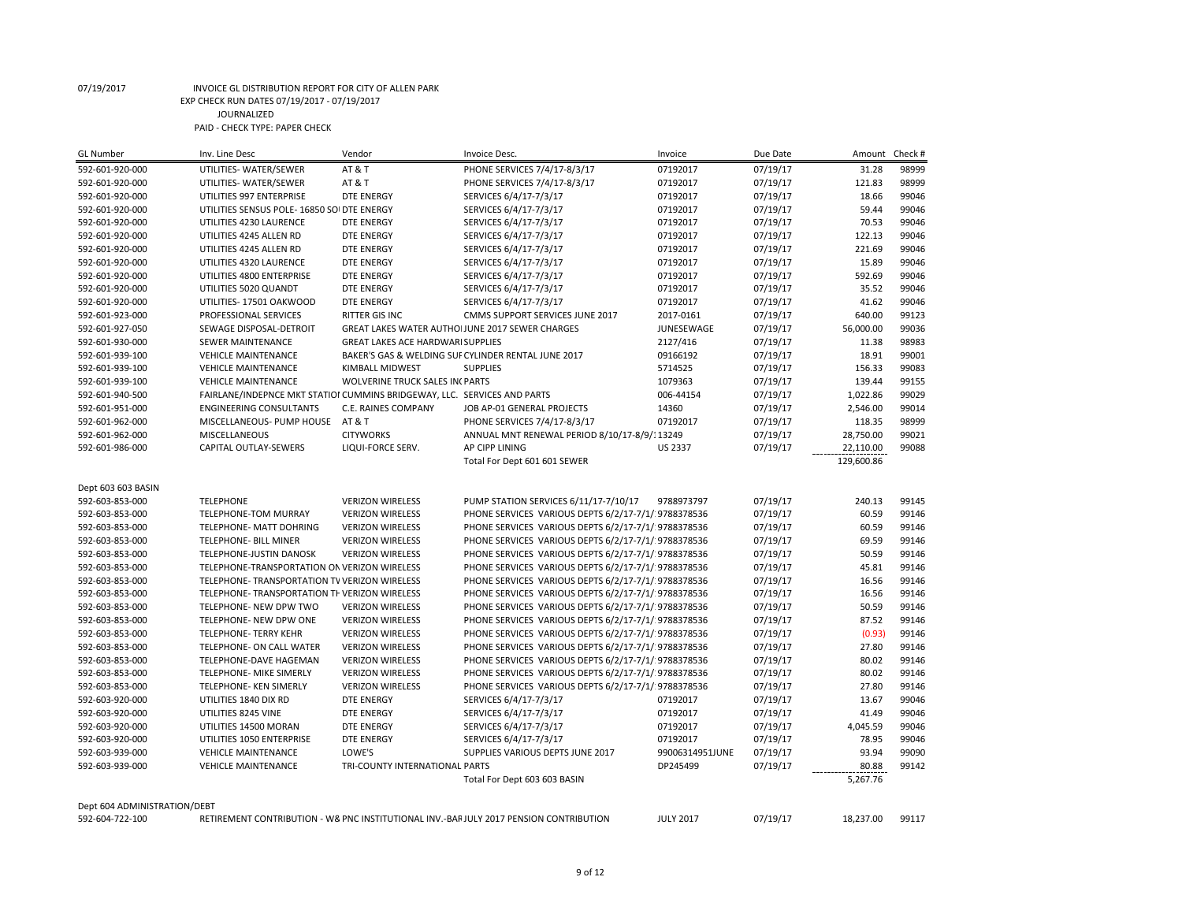| <b>GL Number</b>                   | Inv. Line Desc                                                           | Vendor                                                            | Invoice Desc.                                                                         | Invoice                 | Due Date | Amount     | Check # |
|------------------------------------|--------------------------------------------------------------------------|-------------------------------------------------------------------|---------------------------------------------------------------------------------------|-------------------------|----------|------------|---------|
| 592-601-920-000                    | UTILITIES- WATER/SEWER                                                   | <b>AT &amp; T</b>                                                 | PHONE SERVICES 7/4/17-8/3/17                                                          | 07192017                | 07/19/17 | 31.28      | 98999   |
| 592-601-920-000                    | UTILITIES- WATER/SEWER                                                   | AT&T                                                              | PHONE SERVICES 7/4/17-8/3/17                                                          | 07192017                | 07/19/17 | 121.83     | 98999   |
| 592-601-920-000                    | UTILITIES 997 ENTERPRISE                                                 | <b>DTE ENERGY</b>                                                 | SERVICES 6/4/17-7/3/17                                                                | 07192017                | 07/19/17 | 18.66      | 99046   |
| 592-601-920-000                    | UTILITIES SENSUS POLE- 16850 SOI DTE ENERGY                              |                                                                   | SERVICES 6/4/17-7/3/17                                                                | 07192017                | 07/19/17 | 59.44      | 99046   |
| 592-601-920-000                    | UTILITIES 4230 LAURENCE                                                  | <b>DTE ENERGY</b>                                                 | SERVICES 6/4/17-7/3/17                                                                | 07192017                | 07/19/17 | 70.53      | 99046   |
| 592-601-920-000                    | UTILITIES 4245 ALLEN RD                                                  | <b>DTE ENERGY</b>                                                 | SERVICES 6/4/17-7/3/17                                                                | 07192017                | 07/19/17 | 122.13     | 99046   |
| 592-601-920-000                    | UTILITIES 4245 ALLEN RD                                                  | <b>DTE ENERGY</b>                                                 | SERVICES 6/4/17-7/3/17                                                                | 07192017                | 07/19/17 | 221.69     | 99046   |
| 592-601-920-000                    | UTILITIES 4320 LAURENCE                                                  | <b>DTE ENERGY</b>                                                 | SERVICES 6/4/17-7/3/17                                                                | 07192017                | 07/19/17 | 15.89      | 99046   |
| 592-601-920-000                    | UTILITIES 4800 ENTERPRISE                                                | <b>DTE ENERGY</b>                                                 | SERVICES 6/4/17-7/3/17                                                                | 07192017                | 07/19/17 | 592.69     | 99046   |
| 592-601-920-000                    | UTILITIES 5020 QUANDT                                                    | <b>DTE ENERGY</b>                                                 | SERVICES 6/4/17-7/3/17                                                                | 07192017                | 07/19/17 | 35.52      | 99046   |
| 592-601-920-000                    | UTILITIES-17501 OAKWOOD                                                  | <b>DTE ENERGY</b>                                                 | SERVICES 6/4/17-7/3/17                                                                | 07192017                | 07/19/17 | 41.62      | 99046   |
|                                    |                                                                          |                                                                   |                                                                                       |                         |          | 640.00     | 99123   |
| 592-601-923-000<br>592-601-927-050 | PROFESSIONAL SERVICES                                                    | RITTER GIS INC<br>GREAT LAKES WATER AUTHOIJUNE 2017 SEWER CHARGES | CMMS SUPPORT SERVICES JUNE 2017                                                       | 2017-0161<br>JUNESEWAGE | 07/19/17 | 56,000.00  | 99036   |
|                                    | SEWAGE DISPOSAL-DETROIT                                                  |                                                                   |                                                                                       |                         | 07/19/17 |            |         |
| 592-601-930-000                    | SEWER MAINTENANCE                                                        | <b>GREAT LAKES ACE HARDWARI SUPPLIES</b>                          |                                                                                       | 2127/416                | 07/19/17 | 11.38      | 98983   |
| 592-601-939-100                    | <b>VEHICLE MAINTENANCE</b>                                               |                                                                   | BAKER'S GAS & WELDING SUF CYLINDER RENTAL JUNE 2017                                   | 09166192                | 07/19/17 | 18.91      | 99001   |
| 592-601-939-100                    | <b>VEHICLE MAINTENANCE</b>                                               | KIMBALL MIDWEST                                                   | <b>SUPPLIES</b>                                                                       | 5714525                 | 07/19/17 | 156.33     | 99083   |
| 592-601-939-100                    | <b>VEHICLE MAINTENANCE</b>                                               | WOLVERINE TRUCK SALES IN PARTS                                    |                                                                                       | 1079363                 | 07/19/17 | 139.44     | 99155   |
| 592-601-940-500                    | FAIRLANE/INDEPNCE MKT STATIOI CUMMINS BRIDGEWAY, LLC. SERVICES AND PARTS |                                                                   |                                                                                       | 006-44154               | 07/19/17 | 1,022.86   | 99029   |
| 592-601-951-000                    | <b>ENGINEERING CONSULTANTS</b>                                           | C.E. RAINES COMPANY                                               | JOB AP-01 GENERAL PROJECTS                                                            | 14360                   | 07/19/17 | 2,546.00   | 99014   |
| 592-601-962-000                    | MISCELLANEOUS- PUMP HOUSE                                                | AT & T                                                            | PHONE SERVICES 7/4/17-8/3/17                                                          | 07192017                | 07/19/17 | 118.35     | 98999   |
| 592-601-962-000                    | MISCELLANEOUS                                                            | <b>CITYWORKS</b>                                                  | ANNUAL MNT RENEWAL PERIOD 8/10/17-8/9/113249                                          |                         | 07/19/17 | 28,750.00  | 99021   |
| 592-601-986-000                    | CAPITAL OUTLAY-SEWERS                                                    | LIQUI-FORCE SERV.                                                 | AP CIPP LINING                                                                        | <b>US 2337</b>          | 07/19/17 | 22,110.00  | 99088   |
|                                    |                                                                          |                                                                   | Total For Dept 601 601 SEWER                                                          |                         |          | 129,600.86 |         |
|                                    |                                                                          |                                                                   |                                                                                       |                         |          |            |         |
| Dept 603 603 BASIN                 |                                                                          |                                                                   |                                                                                       |                         |          |            |         |
| 592-603-853-000                    | <b>TELEPHONE</b>                                                         | <b>VERIZON WIRELESS</b>                                           | PUMP STATION SERVICES 6/11/17-7/10/17                                                 | 9788973797              | 07/19/17 | 240.13     | 99145   |
| 592-603-853-000                    | TELEPHONE-TOM MURRAY                                                     | <b>VERIZON WIRELESS</b>                                           | PHONE SERVICES VARIOUS DEPTS 6/2/17-7/1/ 9788378536                                   |                         | 07/19/17 | 60.59      | 99146   |
| 592-603-853-000                    | <b>TELEPHONE- MATT DOHRING</b>                                           | <b>VERIZON WIRELESS</b>                                           | PHONE SERVICES VARIOUS DEPTS 6/2/17-7/1/ 9788378536                                   |                         | 07/19/17 | 60.59      | 99146   |
| 592-603-853-000                    | TELEPHONE- BILL MINER                                                    | <b>VERIZON WIRELESS</b>                                           | PHONE SERVICES VARIOUS DEPTS 6/2/17-7/1/ 9788378536                                   |                         | 07/19/17 | 69.59      | 99146   |
| 592-603-853-000                    | TELEPHONE-JUSTIN DANOSK                                                  | <b>VERIZON WIRELESS</b>                                           | PHONE SERVICES VARIOUS DEPTS 6/2/17-7/1/ 9788378536                                   |                         | 07/19/17 | 50.59      | 99146   |
| 592-603-853-000                    | TELEPHONE-TRANSPORTATION ON VERIZON WIRELESS                             |                                                                   | PHONE SERVICES VARIOUS DEPTS 6/2/17-7/1/ 9788378536                                   |                         | 07/19/17 | 45.81      | 99146   |
| 592-603-853-000                    | TELEPHONE- TRANSPORTATION TV VERIZON WIRELESS                            |                                                                   | PHONE SERVICES VARIOUS DEPTS 6/2/17-7/1/ 9788378536                                   |                         | 07/19/17 | 16.56      | 99146   |
| 592-603-853-000                    | TELEPHONE- TRANSPORTATION TF VERIZON WIRELESS                            |                                                                   | PHONE SERVICES VARIOUS DEPTS 6/2/17-7/1/ 9788378536                                   |                         | 07/19/17 | 16.56      | 99146   |
| 592-603-853-000                    | TELEPHONE- NEW DPW TWO                                                   | <b>VERIZON WIRELESS</b>                                           | PHONE SERVICES VARIOUS DEPTS 6/2/17-7/1/ 9788378536                                   |                         | 07/19/17 | 50.59      | 99146   |
| 592-603-853-000                    | TELEPHONE- NEW DPW ONE                                                   | <b>VERIZON WIRELESS</b>                                           | PHONE SERVICES VARIOUS DEPTS 6/2/17-7/1/ 9788378536                                   |                         | 07/19/17 | 87.52      | 99146   |
| 592-603-853-000                    | <b>TELEPHONE- TERRY KEHR</b>                                             | <b>VERIZON WIRELESS</b>                                           | PHONE SERVICES VARIOUS DEPTS 6/2/17-7/1/ 9788378536                                   |                         | 07/19/17 | (0.93)     | 99146   |
| 592-603-853-000                    | TELEPHONE- ON CALL WATER                                                 | <b>VERIZON WIRELESS</b>                                           | PHONE SERVICES VARIOUS DEPTS 6/2/17-7/1/ 9788378536                                   |                         | 07/19/17 | 27.80      | 99146   |
| 592-603-853-000                    | TELEPHONE-DAVE HAGEMAN                                                   | <b>VERIZON WIRELESS</b>                                           | PHONE SERVICES VARIOUS DEPTS 6/2/17-7/1/ 9788378536                                   |                         | 07/19/17 | 80.02      | 99146   |
| 592-603-853-000                    | TELEPHONE- MIKE SIMERLY                                                  | <b>VERIZON WIRELESS</b>                                           | PHONE SERVICES VARIOUS DEPTS 6/2/17-7/1/ 9788378536                                   |                         | 07/19/17 | 80.02      | 99146   |
| 592-603-853-000                    | TELEPHONE- KEN SIMERLY                                                   | <b>VERIZON WIRELESS</b>                                           | PHONE SERVICES VARIOUS DEPTS 6/2/17-7/1/ 9788378536                                   |                         | 07/19/17 | 27.80      | 99146   |
|                                    |                                                                          |                                                                   |                                                                                       |                         |          |            |         |
| 592-603-920-000                    | UTILITIES 1840 DIX RD                                                    | <b>DTE ENERGY</b>                                                 | SERVICES 6/4/17-7/3/17                                                                | 07192017                | 07/19/17 | 13.67      | 99046   |
| 592-603-920-000                    | UTILITIES 8245 VINE                                                      | <b>DTE ENERGY</b>                                                 | SERVICES 6/4/17-7/3/17                                                                | 07192017                | 07/19/17 | 41.49      | 99046   |
| 592-603-920-000                    | UTILITIES 14500 MORAN                                                    | <b>DTE ENERGY</b>                                                 | SERVICES 6/4/17-7/3/17                                                                | 07192017                | 07/19/17 | 4,045.59   | 99046   |
| 592-603-920-000                    | UTILITIES 1050 ENTERPRISE                                                | <b>DTE ENERGY</b>                                                 | SERVICES 6/4/17-7/3/17                                                                | 07192017                | 07/19/17 | 78.95      | 99046   |
| 592-603-939-000                    | <b>VEHICLE MAINTENANCE</b>                                               | LOWE'S                                                            | SUPPLIES VARIOUS DEPTS JUNE 2017                                                      | 99006314951JUNE         | 07/19/17 | 93.94      | 99090   |
| 592-603-939-000                    | <b>VEHICLE MAINTENANCE</b>                                               | TRI-COUNTY INTERNATIONAL PARTS                                    |                                                                                       | DP245499                | 07/19/17 | 80.88      | 99142   |
|                                    |                                                                          |                                                                   | Total For Dept 603 603 BASIN                                                          |                         |          | 5,267.76   |         |
|                                    |                                                                          |                                                                   |                                                                                       |                         |          |            |         |
| Dept 604 ADMINISTRATION/DEBT       |                                                                          |                                                                   |                                                                                       |                         |          |            |         |
| 592-604-722-100                    |                                                                          |                                                                   | RETIREMENT CONTRIBUTION - W& PNC INSTITUTIONAL INV.-BARJULY 2017 PENSION CONTRIBUTION | <b>JULY 2017</b>        | 07/19/17 | 18,237.00  | 99117   |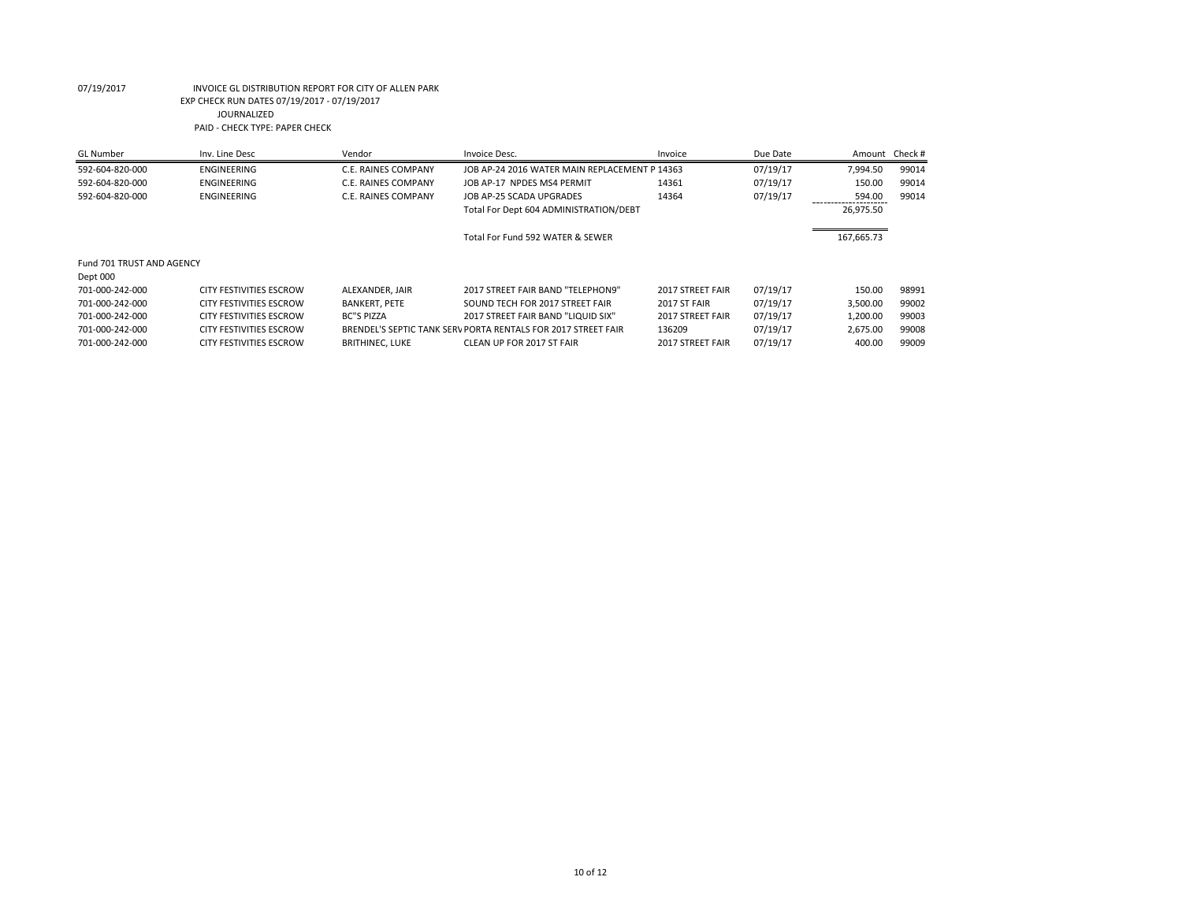| GL Number                 | Inv. Line Desc                 | Vendor                 | Invoice Desc.                                                 | Invoice          | Due Date |            | Amount Check # |
|---------------------------|--------------------------------|------------------------|---------------------------------------------------------------|------------------|----------|------------|----------------|
| 592-604-820-000           | ENGINEERING                    | C.E. RAINES COMPANY    | JOB AP-24 2016 WATER MAIN REPLACEMENT P 14363                 |                  | 07/19/17 | 7,994.50   | 99014          |
| 592-604-820-000           | ENGINEERING                    | C.E. RAINES COMPANY    | JOB AP-17 NPDES MS4 PERMIT                                    | 14361            | 07/19/17 | 150.00     | 99014          |
| 592-604-820-000           | ENGINEERING                    | C.E. RAINES COMPANY    | JOB AP-25 SCADA UPGRADES                                      | 14364            | 07/19/17 | 594.00     | 99014          |
|                           |                                |                        | Total For Dept 604 ADMINISTRATION/DEBT                        |                  |          | 26,975.50  |                |
|                           |                                |                        | Total For Fund 592 WATER & SEWER                              |                  |          | 167,665.73 |                |
| Fund 701 TRUST AND AGENCY |                                |                        |                                                               |                  |          |            |                |
| Dept 000                  |                                |                        |                                                               |                  |          |            |                |
| 701-000-242-000           | <b>CITY FESTIVITIES ESCROW</b> | ALEXANDER, JAIR        | 2017 STREET FAIR BAND "TELEPHON9"                             | 2017 STREET FAIR | 07/19/17 | 150.00     | 98991          |
| 701-000-242-000           | <b>CITY FESTIVITIES ESCROW</b> | <b>BANKERT, PETE</b>   | SOUND TECH FOR 2017 STREET FAIR                               | 2017 ST FAIR     | 07/19/17 | 3,500.00   | 99002          |
| 701-000-242-000           | <b>CITY FESTIVITIES ESCROW</b> | <b>BC"S PIZZA</b>      | 2017 STREET FAIR BAND "LIQUID SIX"                            | 2017 STREET FAIR | 07/19/17 | 1.200.00   | 99003          |
| 701-000-242-000           | <b>CITY FESTIVITIES ESCROW</b> |                        | BRENDEL'S SEPTIC TANK SERV PORTA RENTALS FOR 2017 STREET FAIR | 136209           | 07/19/17 | 2,675.00   | 99008          |
| 701-000-242-000           | <b>CITY FESTIVITIES ESCROW</b> | <b>BRITHINEC, LUKE</b> | CLEAN UP FOR 2017 ST FAIR                                     | 2017 STREET FAIR | 07/19/17 | 400.00     | 99009          |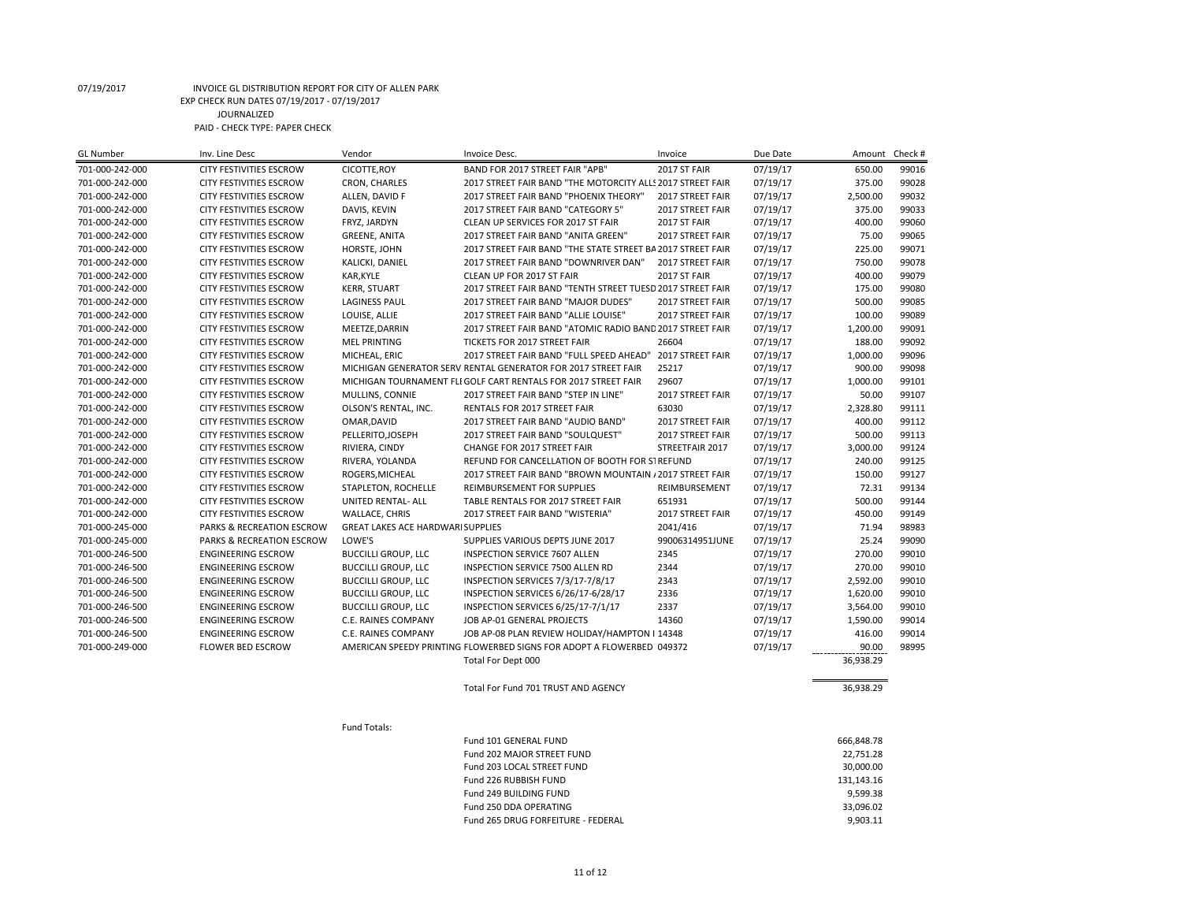| CICOTTE, ROY<br>07/19/17<br>701-000-242-000<br>CITY FESTIVITIES ESCROW<br>BAND FOR 2017 STREET FAIR "APB"<br>2017 ST FAIR<br>650.00<br>99016<br>CRON, CHARLES<br>07/19/17<br>375.00<br>99028<br>701-000-242-000<br>CITY FESTIVITIES ESCROW<br>2017 STREET FAIR BAND "THE MOTORCITY ALLS 2017 STREET FAIR<br>2,500.00<br>99032<br>701-000-242-000<br>ALLEN, DAVID F<br>2017 STREET FAIR BAND "PHOENIX THEORY"<br>07/19/17<br>CITY FESTIVITIES ESCROW<br>2017 STREET FAIR<br>DAVIS, KEVIN<br>375.00<br>99033<br>701-000-242-000<br>CITY FESTIVITIES ESCROW<br>2017 STREET FAIR BAND "CATEGORY 5"<br>2017 STREET FAIR<br>07/19/17<br>400.00<br>701-000-242-000<br>CITY FESTIVITIES ESCROW<br>FRYZ, JARDYN<br>CLEAN UP SERVICES FOR 2017 ST FAIR<br>2017 ST FAIR<br>07/19/17<br>99060<br>75.00<br>99065<br>701-000-242-000<br>CITY FESTIVITIES ESCROW<br><b>GREENE, ANITA</b><br>2017 STREET FAIR BAND "ANITA GREEN"<br>2017 STREET FAIR<br>07/19/17<br>225.00<br>99071<br>701-000-242-000<br>CITY FESTIVITIES ESCROW<br>HORSTE, JOHN<br>2017 STREET FAIR BAND "THE STATE STREET BA 2017 STREET FAIR<br>07/19/17<br>750.00<br>99078<br>CITY FESTIVITIES ESCROW<br>KALICKI, DANIEL<br>2017 STREET FAIR BAND "DOWNRIVER DAN"<br>2017 STREET FAIR<br>07/19/17<br>701-000-242-000<br>07/19/17<br>400.00<br>99079<br>701-000-242-000<br>CITY FESTIVITIES ESCROW<br>KAR, KYLE<br>CLEAN UP FOR 2017 ST FAIR<br>2017 ST FAIR<br><b>KERR, STUART</b><br>2017 STREET FAIR BAND "TENTH STREET TUESD 2017 STREET FAIR<br>07/19/17<br>175.00<br>99080<br>701-000-242-000<br><b>CITY FESTIVITIES ESCROW</b><br>99085<br>701-000-242-000<br>CITY FESTIVITIES ESCROW<br><b>LAGINESS PAUL</b><br>2017 STREET FAIR BAND "MAJOR DUDES"<br>07/19/17<br>500.00<br>2017 STREET FAIR<br>100.00<br>99089<br>701-000-242-000<br>CITY FESTIVITIES ESCROW<br>LOUISE, ALLIE<br>2017 STREET FAIR BAND "ALLIE LOUISE"<br>2017 STREET FAIR<br>07/19/17<br>1,200.00<br>99091<br>701-000-242-000<br><b>CITY FESTIVITIES ESCROW</b><br>MEETZE, DARRIN<br>2017 STREET FAIR BAND "ATOMIC RADIO BAND 2017 STREET FAIR<br>07/19/17<br>99092<br>26604<br>07/19/17<br>188.00<br>701-000-242-000<br>CITY FESTIVITIES ESCROW<br><b>MEL PRINTING</b><br>TICKETS FOR 2017 STREET FAIR<br>1,000.00<br>99096<br>701-000-242-000<br>CITY FESTIVITIES ESCROW<br>MICHEAL, ERIC<br>2017 STREET FAIR BAND "FULL SPEED AHEAD"<br>2017 STREET FAIR<br>07/19/17<br>25217<br>07/19/17<br>900.00<br>99098<br>701-000-242-000<br>CITY FESTIVITIES ESCROW<br>MICHIGAN GENERATOR SERV RENTAL GENERATOR FOR 2017 STREET FAIR<br>29607<br>1,000.00<br>99101<br>701-000-242-000<br><b>CITY FESTIVITIES ESCROW</b><br>MICHIGAN TOURNAMENT FLI GOLF CART RENTALS FOR 2017 STREET FAIR<br>07/19/17<br>MULLINS, CONNIE<br>50.00<br>99107<br>701-000-242-000<br>CITY FESTIVITIES ESCROW<br>2017 STREET FAIR BAND "STEP IN LINE"<br>2017 STREET FAIR<br>07/19/17<br>OLSON'S RENTAL, INC.<br>63030<br>07/19/17<br>2,328.80<br>99111<br>701-000-242-000<br>CITY FESTIVITIES ESCROW<br>RENTALS FOR 2017 STREET FAIR<br>400.00<br>99112<br>CITY FESTIVITIES ESCROW<br>OMAR, DAVID<br>2017 STREET FAIR BAND "AUDIO BAND"<br>2017 STREET FAIR<br>07/19/17<br>701-000-242-000<br>99113<br>PELLERITO, JOSEPH<br>07/19/17<br>500.00<br>701-000-242-000<br>CITY FESTIVITIES ESCROW<br>2017 STREET FAIR BAND "SOULQUEST"<br>2017 STREET FAIR<br>99124<br>701-000-242-000<br>CITY FESTIVITIES ESCROW<br>RIVIERA, CINDY<br>CHANGE FOR 2017 STREET FAIR<br>STREETFAIR 2017<br>07/19/17<br>3,000.00<br>99125<br>701-000-242-000<br>CITY FESTIVITIES ESCROW<br>RIVERA, YOLANDA<br>REFUND FOR CANCELLATION OF BOOTH FOR STREFUND<br>07/19/17<br>240.00<br>150.00<br>99127<br>701-000-242-000<br>CITY FESTIVITIES ESCROW<br>ROGERS, MICHEAL<br>2017 STREET FAIR BAND "BROWN MOUNTAIN / 2017 STREET FAIR<br>07/19/17<br>701-000-242-000<br>CITY FESTIVITIES ESCROW<br>STAPLETON, ROCHELLE<br>REIMBURSEMENT FOR SUPPLIES<br>07/19/17<br>72.31<br>99134<br>REIMBURSEMENT<br>99144<br>UNITED RENTAL- ALL<br>TABLE RENTALS FOR 2017 STREET FAIR<br>651931<br>07/19/17<br>500.00<br>701-000-242-000<br>CITY FESTIVITIES ESCROW<br>450.00<br>99149<br>701-000-242-000<br><b>CITY FESTIVITIES ESCROW</b><br><b>WALLACE, CHRIS</b><br>2017 STREET FAIR BAND "WISTERIA"<br>2017 STREET FAIR<br>07/19/17<br>71.94<br>98983<br><b>GREAT LAKES ACE HARDWARI SUPPLIES</b><br>2041/416<br>07/19/17<br>701-000-245-000<br>PARKS & RECREATION ESCROW<br>25.24<br>99090<br>701-000-245-000<br>PARKS & RECREATION ESCROW<br>LOWE'S<br>SUPPLIES VARIOUS DEPTS JUNE 2017<br>99006314951JUNE<br>07/19/17<br><b>ENGINEERING ESCROW</b><br><b>BUCCILLI GROUP, LLC</b><br><b>INSPECTION SERVICE 7607 ALLEN</b><br>2345<br>270.00<br>99010<br>701-000-246-500<br>07/19/17<br>270.00<br>99010<br>701-000-246-500<br><b>ENGINEERING ESCROW</b><br><b>BUCCILLI GROUP, LLC</b><br>INSPECTION SERVICE 7500 ALLEN RD<br>2344<br>07/19/17<br>2,592.00<br>99010<br><b>ENGINEERING ESCROW</b><br><b>BUCCILLI GROUP, LLC</b><br>INSPECTION SERVICES 7/3/17-7/8/17<br>2343<br>07/19/17<br>701-000-246-500<br><b>BUCCILLI GROUP, LLC</b><br>07/19/17<br>1,620.00<br>99010<br>701-000-246-500<br><b>ENGINEERING ESCROW</b><br>INSPECTION SERVICES 6/26/17-6/28/17<br>2336<br>99010<br>701-000-246-500<br><b>ENGINEERING ESCROW</b><br><b>BUCCILLI GROUP, LLC</b><br>INSPECTION SERVICES 6/25/17-7/1/17<br>2337<br>07/19/17<br>3,564.00<br>99014<br>701-000-246-500<br><b>ENGINEERING ESCROW</b><br>C.E. RAINES COMPANY<br>JOB AP-01 GENERAL PROJECTS<br>14360<br>07/19/17<br>1,590.00<br>07/19/17<br>416.00<br>99014<br>701-000-246-500<br><b>ENGINEERING ESCROW</b><br>C.E. RAINES COMPANY<br>JOB AP-08 PLAN REVIEW HOLIDAY/HAMPTON I 14348<br>701-000-249-000<br><b>FLOWER BED ESCROW</b><br>AMERICAN SPEEDY PRINTING FLOWERBED SIGNS FOR ADOPT A FLOWERBED 049372<br>07/19/17<br>90.00<br>98995<br>Total For Dept 000<br>36,938.29<br>Total For Fund 701 TRUST AND AGENCY<br>36,938.29<br>Fund Totals:<br>666,848.78<br>Fund 101 GENERAL FUND<br>Fund 202 MAJOR STREET FUND<br>22,751.28<br>Fund 203 LOCAL STREET FUND<br>30,000.00<br>131,143.16<br>Fund 226 RUBBISH FUND<br>Fund 249 BUILDING FUND<br>9,599.38<br>33,096.02<br>Fund 250 DDA OPERATING | <b>GL Number</b> | Inv. Line Desc | Vendor | Invoice Desc.                      | Invoice | Due Date | Amount   | Check # |
|---------------------------------------------------------------------------------------------------------------------------------------------------------------------------------------------------------------------------------------------------------------------------------------------------------------------------------------------------------------------------------------------------------------------------------------------------------------------------------------------------------------------------------------------------------------------------------------------------------------------------------------------------------------------------------------------------------------------------------------------------------------------------------------------------------------------------------------------------------------------------------------------------------------------------------------------------------------------------------------------------------------------------------------------------------------------------------------------------------------------------------------------------------------------------------------------------------------------------------------------------------------------------------------------------------------------------------------------------------------------------------------------------------------------------------------------------------------------------------------------------------------------------------------------------------------------------------------------------------------------------------------------------------------------------------------------------------------------------------------------------------------------------------------------------------------------------------------------------------------------------------------------------------------------------------------------------------------------------------------------------------------------------------------------------------------------------------------------------------------------------------------------------------------------------------------------------------------------------------------------------------------------------------------------------------------------------------------------------------------------------------------------------------------------------------------------------------------------------------------------------------------------------------------------------------------------------------------------------------------------------------------------------------------------------------------------------------------------------------------------------------------------------------------------------------------------------------------------------------------------------------------------------------------------------------------------------------------------------------------------------------------------------------------------------------------------------------------------------------------------------------------------------------------------------------------------------------------------------------------------------------------------------------------------------------------------------------------------------------------------------------------------------------------------------------------------------------------------------------------------------------------------------------------------------------------------------------------------------------------------------------------------------------------------------------------------------------------------------------------------------------------------------------------------------------------------------------------------------------------------------------------------------------------------------------------------------------------------------------------------------------------------------------------------------------------------------------------------------------------------------------------------------------------------------------------------------------------------------------------------------------------------------------------------------------------------------------------------------------------------------------------------------------------------------------------------------------------------------------------------------------------------------------------------------------------------------------------------------------------------------------------------------------------------------------------------------------------------------------------------------------------------------------------------------------------------------------------------------------------------------------------------------------------------------------------------------------------------------------------------------------------------------------------------------------------------------------------------------------------------------------------------------------------------------------------------------------------------------------------------------------------------------------------------------------------------------------------------------------------------------------------------------------------------------------------------------------------------------------------------------------------------------------------------------------------------------------------------------------------------------------------------------------------------------------------------------------------------------------------------------------------------------------------------------------------------------------------------------------------------------------------------------------------------------------------------------------------------------------------------------------------------------------------------------------------------------------------------------------------------------------------------------------------------------------------------------------------------------|------------------|----------------|--------|------------------------------------|---------|----------|----------|---------|
|                                                                                                                                                                                                                                                                                                                                                                                                                                                                                                                                                                                                                                                                                                                                                                                                                                                                                                                                                                                                                                                                                                                                                                                                                                                                                                                                                                                                                                                                                                                                                                                                                                                                                                                                                                                                                                                                                                                                                                                                                                                                                                                                                                                                                                                                                                                                                                                                                                                                                                                                                                                                                                                                                                                                                                                                                                                                                                                                                                                                                                                                                                                                                                                                                                                                                                                                                                                                                                                                                                                                                                                                                                                                                                                                                                                                                                                                                                                                                                                                                                                                                                                                                                                                                                                                                                                                                                                                                                                                                                                                                                                                                                                                                                                                                                                                                                                                                                                                                                                                                                                                                                                                                                                                                                                                                                                                                                                                                                                                                                                                                                                                                                                                                                                                                                                                                                                                                                                                                                                                                                                                                                                                                                                                                           |                  |                |        |                                    |         |          |          |         |
|                                                                                                                                                                                                                                                                                                                                                                                                                                                                                                                                                                                                                                                                                                                                                                                                                                                                                                                                                                                                                                                                                                                                                                                                                                                                                                                                                                                                                                                                                                                                                                                                                                                                                                                                                                                                                                                                                                                                                                                                                                                                                                                                                                                                                                                                                                                                                                                                                                                                                                                                                                                                                                                                                                                                                                                                                                                                                                                                                                                                                                                                                                                                                                                                                                                                                                                                                                                                                                                                                                                                                                                                                                                                                                                                                                                                                                                                                                                                                                                                                                                                                                                                                                                                                                                                                                                                                                                                                                                                                                                                                                                                                                                                                                                                                                                                                                                                                                                                                                                                                                                                                                                                                                                                                                                                                                                                                                                                                                                                                                                                                                                                                                                                                                                                                                                                                                                                                                                                                                                                                                                                                                                                                                                                                           |                  |                |        |                                    |         |          |          |         |
|                                                                                                                                                                                                                                                                                                                                                                                                                                                                                                                                                                                                                                                                                                                                                                                                                                                                                                                                                                                                                                                                                                                                                                                                                                                                                                                                                                                                                                                                                                                                                                                                                                                                                                                                                                                                                                                                                                                                                                                                                                                                                                                                                                                                                                                                                                                                                                                                                                                                                                                                                                                                                                                                                                                                                                                                                                                                                                                                                                                                                                                                                                                                                                                                                                                                                                                                                                                                                                                                                                                                                                                                                                                                                                                                                                                                                                                                                                                                                                                                                                                                                                                                                                                                                                                                                                                                                                                                                                                                                                                                                                                                                                                                                                                                                                                                                                                                                                                                                                                                                                                                                                                                                                                                                                                                                                                                                                                                                                                                                                                                                                                                                                                                                                                                                                                                                                                                                                                                                                                                                                                                                                                                                                                                                           |                  |                |        |                                    |         |          |          |         |
|                                                                                                                                                                                                                                                                                                                                                                                                                                                                                                                                                                                                                                                                                                                                                                                                                                                                                                                                                                                                                                                                                                                                                                                                                                                                                                                                                                                                                                                                                                                                                                                                                                                                                                                                                                                                                                                                                                                                                                                                                                                                                                                                                                                                                                                                                                                                                                                                                                                                                                                                                                                                                                                                                                                                                                                                                                                                                                                                                                                                                                                                                                                                                                                                                                                                                                                                                                                                                                                                                                                                                                                                                                                                                                                                                                                                                                                                                                                                                                                                                                                                                                                                                                                                                                                                                                                                                                                                                                                                                                                                                                                                                                                                                                                                                                                                                                                                                                                                                                                                                                                                                                                                                                                                                                                                                                                                                                                                                                                                                                                                                                                                                                                                                                                                                                                                                                                                                                                                                                                                                                                                                                                                                                                                                           |                  |                |        |                                    |         |          |          |         |
|                                                                                                                                                                                                                                                                                                                                                                                                                                                                                                                                                                                                                                                                                                                                                                                                                                                                                                                                                                                                                                                                                                                                                                                                                                                                                                                                                                                                                                                                                                                                                                                                                                                                                                                                                                                                                                                                                                                                                                                                                                                                                                                                                                                                                                                                                                                                                                                                                                                                                                                                                                                                                                                                                                                                                                                                                                                                                                                                                                                                                                                                                                                                                                                                                                                                                                                                                                                                                                                                                                                                                                                                                                                                                                                                                                                                                                                                                                                                                                                                                                                                                                                                                                                                                                                                                                                                                                                                                                                                                                                                                                                                                                                                                                                                                                                                                                                                                                                                                                                                                                                                                                                                                                                                                                                                                                                                                                                                                                                                                                                                                                                                                                                                                                                                                                                                                                                                                                                                                                                                                                                                                                                                                                                                                           |                  |                |        |                                    |         |          |          |         |
|                                                                                                                                                                                                                                                                                                                                                                                                                                                                                                                                                                                                                                                                                                                                                                                                                                                                                                                                                                                                                                                                                                                                                                                                                                                                                                                                                                                                                                                                                                                                                                                                                                                                                                                                                                                                                                                                                                                                                                                                                                                                                                                                                                                                                                                                                                                                                                                                                                                                                                                                                                                                                                                                                                                                                                                                                                                                                                                                                                                                                                                                                                                                                                                                                                                                                                                                                                                                                                                                                                                                                                                                                                                                                                                                                                                                                                                                                                                                                                                                                                                                                                                                                                                                                                                                                                                                                                                                                                                                                                                                                                                                                                                                                                                                                                                                                                                                                                                                                                                                                                                                                                                                                                                                                                                                                                                                                                                                                                                                                                                                                                                                                                                                                                                                                                                                                                                                                                                                                                                                                                                                                                                                                                                                                           |                  |                |        |                                    |         |          |          |         |
|                                                                                                                                                                                                                                                                                                                                                                                                                                                                                                                                                                                                                                                                                                                                                                                                                                                                                                                                                                                                                                                                                                                                                                                                                                                                                                                                                                                                                                                                                                                                                                                                                                                                                                                                                                                                                                                                                                                                                                                                                                                                                                                                                                                                                                                                                                                                                                                                                                                                                                                                                                                                                                                                                                                                                                                                                                                                                                                                                                                                                                                                                                                                                                                                                                                                                                                                                                                                                                                                                                                                                                                                                                                                                                                                                                                                                                                                                                                                                                                                                                                                                                                                                                                                                                                                                                                                                                                                                                                                                                                                                                                                                                                                                                                                                                                                                                                                                                                                                                                                                                                                                                                                                                                                                                                                                                                                                                                                                                                                                                                                                                                                                                                                                                                                                                                                                                                                                                                                                                                                                                                                                                                                                                                                                           |                  |                |        |                                    |         |          |          |         |
|                                                                                                                                                                                                                                                                                                                                                                                                                                                                                                                                                                                                                                                                                                                                                                                                                                                                                                                                                                                                                                                                                                                                                                                                                                                                                                                                                                                                                                                                                                                                                                                                                                                                                                                                                                                                                                                                                                                                                                                                                                                                                                                                                                                                                                                                                                                                                                                                                                                                                                                                                                                                                                                                                                                                                                                                                                                                                                                                                                                                                                                                                                                                                                                                                                                                                                                                                                                                                                                                                                                                                                                                                                                                                                                                                                                                                                                                                                                                                                                                                                                                                                                                                                                                                                                                                                                                                                                                                                                                                                                                                                                                                                                                                                                                                                                                                                                                                                                                                                                                                                                                                                                                                                                                                                                                                                                                                                                                                                                                                                                                                                                                                                                                                                                                                                                                                                                                                                                                                                                                                                                                                                                                                                                                                           |                  |                |        |                                    |         |          |          |         |
|                                                                                                                                                                                                                                                                                                                                                                                                                                                                                                                                                                                                                                                                                                                                                                                                                                                                                                                                                                                                                                                                                                                                                                                                                                                                                                                                                                                                                                                                                                                                                                                                                                                                                                                                                                                                                                                                                                                                                                                                                                                                                                                                                                                                                                                                                                                                                                                                                                                                                                                                                                                                                                                                                                                                                                                                                                                                                                                                                                                                                                                                                                                                                                                                                                                                                                                                                                                                                                                                                                                                                                                                                                                                                                                                                                                                                                                                                                                                                                                                                                                                                                                                                                                                                                                                                                                                                                                                                                                                                                                                                                                                                                                                                                                                                                                                                                                                                                                                                                                                                                                                                                                                                                                                                                                                                                                                                                                                                                                                                                                                                                                                                                                                                                                                                                                                                                                                                                                                                                                                                                                                                                                                                                                                                           |                  |                |        |                                    |         |          |          |         |
|                                                                                                                                                                                                                                                                                                                                                                                                                                                                                                                                                                                                                                                                                                                                                                                                                                                                                                                                                                                                                                                                                                                                                                                                                                                                                                                                                                                                                                                                                                                                                                                                                                                                                                                                                                                                                                                                                                                                                                                                                                                                                                                                                                                                                                                                                                                                                                                                                                                                                                                                                                                                                                                                                                                                                                                                                                                                                                                                                                                                                                                                                                                                                                                                                                                                                                                                                                                                                                                                                                                                                                                                                                                                                                                                                                                                                                                                                                                                                                                                                                                                                                                                                                                                                                                                                                                                                                                                                                                                                                                                                                                                                                                                                                                                                                                                                                                                                                                                                                                                                                                                                                                                                                                                                                                                                                                                                                                                                                                                                                                                                                                                                                                                                                                                                                                                                                                                                                                                                                                                                                                                                                                                                                                                                           |                  |                |        |                                    |         |          |          |         |
|                                                                                                                                                                                                                                                                                                                                                                                                                                                                                                                                                                                                                                                                                                                                                                                                                                                                                                                                                                                                                                                                                                                                                                                                                                                                                                                                                                                                                                                                                                                                                                                                                                                                                                                                                                                                                                                                                                                                                                                                                                                                                                                                                                                                                                                                                                                                                                                                                                                                                                                                                                                                                                                                                                                                                                                                                                                                                                                                                                                                                                                                                                                                                                                                                                                                                                                                                                                                                                                                                                                                                                                                                                                                                                                                                                                                                                                                                                                                                                                                                                                                                                                                                                                                                                                                                                                                                                                                                                                                                                                                                                                                                                                                                                                                                                                                                                                                                                                                                                                                                                                                                                                                                                                                                                                                                                                                                                                                                                                                                                                                                                                                                                                                                                                                                                                                                                                                                                                                                                                                                                                                                                                                                                                                                           |                  |                |        |                                    |         |          |          |         |
|                                                                                                                                                                                                                                                                                                                                                                                                                                                                                                                                                                                                                                                                                                                                                                                                                                                                                                                                                                                                                                                                                                                                                                                                                                                                                                                                                                                                                                                                                                                                                                                                                                                                                                                                                                                                                                                                                                                                                                                                                                                                                                                                                                                                                                                                                                                                                                                                                                                                                                                                                                                                                                                                                                                                                                                                                                                                                                                                                                                                                                                                                                                                                                                                                                                                                                                                                                                                                                                                                                                                                                                                                                                                                                                                                                                                                                                                                                                                                                                                                                                                                                                                                                                                                                                                                                                                                                                                                                                                                                                                                                                                                                                                                                                                                                                                                                                                                                                                                                                                                                                                                                                                                                                                                                                                                                                                                                                                                                                                                                                                                                                                                                                                                                                                                                                                                                                                                                                                                                                                                                                                                                                                                                                                                           |                  |                |        |                                    |         |          |          |         |
|                                                                                                                                                                                                                                                                                                                                                                                                                                                                                                                                                                                                                                                                                                                                                                                                                                                                                                                                                                                                                                                                                                                                                                                                                                                                                                                                                                                                                                                                                                                                                                                                                                                                                                                                                                                                                                                                                                                                                                                                                                                                                                                                                                                                                                                                                                                                                                                                                                                                                                                                                                                                                                                                                                                                                                                                                                                                                                                                                                                                                                                                                                                                                                                                                                                                                                                                                                                                                                                                                                                                                                                                                                                                                                                                                                                                                                                                                                                                                                                                                                                                                                                                                                                                                                                                                                                                                                                                                                                                                                                                                                                                                                                                                                                                                                                                                                                                                                                                                                                                                                                                                                                                                                                                                                                                                                                                                                                                                                                                                                                                                                                                                                                                                                                                                                                                                                                                                                                                                                                                                                                                                                                                                                                                                           |                  |                |        |                                    |         |          |          |         |
|                                                                                                                                                                                                                                                                                                                                                                                                                                                                                                                                                                                                                                                                                                                                                                                                                                                                                                                                                                                                                                                                                                                                                                                                                                                                                                                                                                                                                                                                                                                                                                                                                                                                                                                                                                                                                                                                                                                                                                                                                                                                                                                                                                                                                                                                                                                                                                                                                                                                                                                                                                                                                                                                                                                                                                                                                                                                                                                                                                                                                                                                                                                                                                                                                                                                                                                                                                                                                                                                                                                                                                                                                                                                                                                                                                                                                                                                                                                                                                                                                                                                                                                                                                                                                                                                                                                                                                                                                                                                                                                                                                                                                                                                                                                                                                                                                                                                                                                                                                                                                                                                                                                                                                                                                                                                                                                                                                                                                                                                                                                                                                                                                                                                                                                                                                                                                                                                                                                                                                                                                                                                                                                                                                                                                           |                  |                |        |                                    |         |          |          |         |
|                                                                                                                                                                                                                                                                                                                                                                                                                                                                                                                                                                                                                                                                                                                                                                                                                                                                                                                                                                                                                                                                                                                                                                                                                                                                                                                                                                                                                                                                                                                                                                                                                                                                                                                                                                                                                                                                                                                                                                                                                                                                                                                                                                                                                                                                                                                                                                                                                                                                                                                                                                                                                                                                                                                                                                                                                                                                                                                                                                                                                                                                                                                                                                                                                                                                                                                                                                                                                                                                                                                                                                                                                                                                                                                                                                                                                                                                                                                                                                                                                                                                                                                                                                                                                                                                                                                                                                                                                                                                                                                                                                                                                                                                                                                                                                                                                                                                                                                                                                                                                                                                                                                                                                                                                                                                                                                                                                                                                                                                                                                                                                                                                                                                                                                                                                                                                                                                                                                                                                                                                                                                                                                                                                                                                           |                  |                |        |                                    |         |          |          |         |
|                                                                                                                                                                                                                                                                                                                                                                                                                                                                                                                                                                                                                                                                                                                                                                                                                                                                                                                                                                                                                                                                                                                                                                                                                                                                                                                                                                                                                                                                                                                                                                                                                                                                                                                                                                                                                                                                                                                                                                                                                                                                                                                                                                                                                                                                                                                                                                                                                                                                                                                                                                                                                                                                                                                                                                                                                                                                                                                                                                                                                                                                                                                                                                                                                                                                                                                                                                                                                                                                                                                                                                                                                                                                                                                                                                                                                                                                                                                                                                                                                                                                                                                                                                                                                                                                                                                                                                                                                                                                                                                                                                                                                                                                                                                                                                                                                                                                                                                                                                                                                                                                                                                                                                                                                                                                                                                                                                                                                                                                                                                                                                                                                                                                                                                                                                                                                                                                                                                                                                                                                                                                                                                                                                                                                           |                  |                |        |                                    |         |          |          |         |
|                                                                                                                                                                                                                                                                                                                                                                                                                                                                                                                                                                                                                                                                                                                                                                                                                                                                                                                                                                                                                                                                                                                                                                                                                                                                                                                                                                                                                                                                                                                                                                                                                                                                                                                                                                                                                                                                                                                                                                                                                                                                                                                                                                                                                                                                                                                                                                                                                                                                                                                                                                                                                                                                                                                                                                                                                                                                                                                                                                                                                                                                                                                                                                                                                                                                                                                                                                                                                                                                                                                                                                                                                                                                                                                                                                                                                                                                                                                                                                                                                                                                                                                                                                                                                                                                                                                                                                                                                                                                                                                                                                                                                                                                                                                                                                                                                                                                                                                                                                                                                                                                                                                                                                                                                                                                                                                                                                                                                                                                                                                                                                                                                                                                                                                                                                                                                                                                                                                                                                                                                                                                                                                                                                                                                           |                  |                |        |                                    |         |          |          |         |
|                                                                                                                                                                                                                                                                                                                                                                                                                                                                                                                                                                                                                                                                                                                                                                                                                                                                                                                                                                                                                                                                                                                                                                                                                                                                                                                                                                                                                                                                                                                                                                                                                                                                                                                                                                                                                                                                                                                                                                                                                                                                                                                                                                                                                                                                                                                                                                                                                                                                                                                                                                                                                                                                                                                                                                                                                                                                                                                                                                                                                                                                                                                                                                                                                                                                                                                                                                                                                                                                                                                                                                                                                                                                                                                                                                                                                                                                                                                                                                                                                                                                                                                                                                                                                                                                                                                                                                                                                                                                                                                                                                                                                                                                                                                                                                                                                                                                                                                                                                                                                                                                                                                                                                                                                                                                                                                                                                                                                                                                                                                                                                                                                                                                                                                                                                                                                                                                                                                                                                                                                                                                                                                                                                                                                           |                  |                |        |                                    |         |          |          |         |
|                                                                                                                                                                                                                                                                                                                                                                                                                                                                                                                                                                                                                                                                                                                                                                                                                                                                                                                                                                                                                                                                                                                                                                                                                                                                                                                                                                                                                                                                                                                                                                                                                                                                                                                                                                                                                                                                                                                                                                                                                                                                                                                                                                                                                                                                                                                                                                                                                                                                                                                                                                                                                                                                                                                                                                                                                                                                                                                                                                                                                                                                                                                                                                                                                                                                                                                                                                                                                                                                                                                                                                                                                                                                                                                                                                                                                                                                                                                                                                                                                                                                                                                                                                                                                                                                                                                                                                                                                                                                                                                                                                                                                                                                                                                                                                                                                                                                                                                                                                                                                                                                                                                                                                                                                                                                                                                                                                                                                                                                                                                                                                                                                                                                                                                                                                                                                                                                                                                                                                                                                                                                                                                                                                                                                           |                  |                |        |                                    |         |          |          |         |
|                                                                                                                                                                                                                                                                                                                                                                                                                                                                                                                                                                                                                                                                                                                                                                                                                                                                                                                                                                                                                                                                                                                                                                                                                                                                                                                                                                                                                                                                                                                                                                                                                                                                                                                                                                                                                                                                                                                                                                                                                                                                                                                                                                                                                                                                                                                                                                                                                                                                                                                                                                                                                                                                                                                                                                                                                                                                                                                                                                                                                                                                                                                                                                                                                                                                                                                                                                                                                                                                                                                                                                                                                                                                                                                                                                                                                                                                                                                                                                                                                                                                                                                                                                                                                                                                                                                                                                                                                                                                                                                                                                                                                                                                                                                                                                                                                                                                                                                                                                                                                                                                                                                                                                                                                                                                                                                                                                                                                                                                                                                                                                                                                                                                                                                                                                                                                                                                                                                                                                                                                                                                                                                                                                                                                           |                  |                |        |                                    |         |          |          |         |
|                                                                                                                                                                                                                                                                                                                                                                                                                                                                                                                                                                                                                                                                                                                                                                                                                                                                                                                                                                                                                                                                                                                                                                                                                                                                                                                                                                                                                                                                                                                                                                                                                                                                                                                                                                                                                                                                                                                                                                                                                                                                                                                                                                                                                                                                                                                                                                                                                                                                                                                                                                                                                                                                                                                                                                                                                                                                                                                                                                                                                                                                                                                                                                                                                                                                                                                                                                                                                                                                                                                                                                                                                                                                                                                                                                                                                                                                                                                                                                                                                                                                                                                                                                                                                                                                                                                                                                                                                                                                                                                                                                                                                                                                                                                                                                                                                                                                                                                                                                                                                                                                                                                                                                                                                                                                                                                                                                                                                                                                                                                                                                                                                                                                                                                                                                                                                                                                                                                                                                                                                                                                                                                                                                                                                           |                  |                |        |                                    |         |          |          |         |
|                                                                                                                                                                                                                                                                                                                                                                                                                                                                                                                                                                                                                                                                                                                                                                                                                                                                                                                                                                                                                                                                                                                                                                                                                                                                                                                                                                                                                                                                                                                                                                                                                                                                                                                                                                                                                                                                                                                                                                                                                                                                                                                                                                                                                                                                                                                                                                                                                                                                                                                                                                                                                                                                                                                                                                                                                                                                                                                                                                                                                                                                                                                                                                                                                                                                                                                                                                                                                                                                                                                                                                                                                                                                                                                                                                                                                                                                                                                                                                                                                                                                                                                                                                                                                                                                                                                                                                                                                                                                                                                                                                                                                                                                                                                                                                                                                                                                                                                                                                                                                                                                                                                                                                                                                                                                                                                                                                                                                                                                                                                                                                                                                                                                                                                                                                                                                                                                                                                                                                                                                                                                                                                                                                                                                           |                  |                |        |                                    |         |          |          |         |
|                                                                                                                                                                                                                                                                                                                                                                                                                                                                                                                                                                                                                                                                                                                                                                                                                                                                                                                                                                                                                                                                                                                                                                                                                                                                                                                                                                                                                                                                                                                                                                                                                                                                                                                                                                                                                                                                                                                                                                                                                                                                                                                                                                                                                                                                                                                                                                                                                                                                                                                                                                                                                                                                                                                                                                                                                                                                                                                                                                                                                                                                                                                                                                                                                                                                                                                                                                                                                                                                                                                                                                                                                                                                                                                                                                                                                                                                                                                                                                                                                                                                                                                                                                                                                                                                                                                                                                                                                                                                                                                                                                                                                                                                                                                                                                                                                                                                                                                                                                                                                                                                                                                                                                                                                                                                                                                                                                                                                                                                                                                                                                                                                                                                                                                                                                                                                                                                                                                                                                                                                                                                                                                                                                                                                           |                  |                |        |                                    |         |          |          |         |
|                                                                                                                                                                                                                                                                                                                                                                                                                                                                                                                                                                                                                                                                                                                                                                                                                                                                                                                                                                                                                                                                                                                                                                                                                                                                                                                                                                                                                                                                                                                                                                                                                                                                                                                                                                                                                                                                                                                                                                                                                                                                                                                                                                                                                                                                                                                                                                                                                                                                                                                                                                                                                                                                                                                                                                                                                                                                                                                                                                                                                                                                                                                                                                                                                                                                                                                                                                                                                                                                                                                                                                                                                                                                                                                                                                                                                                                                                                                                                                                                                                                                                                                                                                                                                                                                                                                                                                                                                                                                                                                                                                                                                                                                                                                                                                                                                                                                                                                                                                                                                                                                                                                                                                                                                                                                                                                                                                                                                                                                                                                                                                                                                                                                                                                                                                                                                                                                                                                                                                                                                                                                                                                                                                                                                           |                  |                |        |                                    |         |          |          |         |
|                                                                                                                                                                                                                                                                                                                                                                                                                                                                                                                                                                                                                                                                                                                                                                                                                                                                                                                                                                                                                                                                                                                                                                                                                                                                                                                                                                                                                                                                                                                                                                                                                                                                                                                                                                                                                                                                                                                                                                                                                                                                                                                                                                                                                                                                                                                                                                                                                                                                                                                                                                                                                                                                                                                                                                                                                                                                                                                                                                                                                                                                                                                                                                                                                                                                                                                                                                                                                                                                                                                                                                                                                                                                                                                                                                                                                                                                                                                                                                                                                                                                                                                                                                                                                                                                                                                                                                                                                                                                                                                                                                                                                                                                                                                                                                                                                                                                                                                                                                                                                                                                                                                                                                                                                                                                                                                                                                                                                                                                                                                                                                                                                                                                                                                                                                                                                                                                                                                                                                                                                                                                                                                                                                                                                           |                  |                |        |                                    |         |          |          |         |
|                                                                                                                                                                                                                                                                                                                                                                                                                                                                                                                                                                                                                                                                                                                                                                                                                                                                                                                                                                                                                                                                                                                                                                                                                                                                                                                                                                                                                                                                                                                                                                                                                                                                                                                                                                                                                                                                                                                                                                                                                                                                                                                                                                                                                                                                                                                                                                                                                                                                                                                                                                                                                                                                                                                                                                                                                                                                                                                                                                                                                                                                                                                                                                                                                                                                                                                                                                                                                                                                                                                                                                                                                                                                                                                                                                                                                                                                                                                                                                                                                                                                                                                                                                                                                                                                                                                                                                                                                                                                                                                                                                                                                                                                                                                                                                                                                                                                                                                                                                                                                                                                                                                                                                                                                                                                                                                                                                                                                                                                                                                                                                                                                                                                                                                                                                                                                                                                                                                                                                                                                                                                                                                                                                                                                           |                  |                |        |                                    |         |          |          |         |
|                                                                                                                                                                                                                                                                                                                                                                                                                                                                                                                                                                                                                                                                                                                                                                                                                                                                                                                                                                                                                                                                                                                                                                                                                                                                                                                                                                                                                                                                                                                                                                                                                                                                                                                                                                                                                                                                                                                                                                                                                                                                                                                                                                                                                                                                                                                                                                                                                                                                                                                                                                                                                                                                                                                                                                                                                                                                                                                                                                                                                                                                                                                                                                                                                                                                                                                                                                                                                                                                                                                                                                                                                                                                                                                                                                                                                                                                                                                                                                                                                                                                                                                                                                                                                                                                                                                                                                                                                                                                                                                                                                                                                                                                                                                                                                                                                                                                                                                                                                                                                                                                                                                                                                                                                                                                                                                                                                                                                                                                                                                                                                                                                                                                                                                                                                                                                                                                                                                                                                                                                                                                                                                                                                                                                           |                  |                |        |                                    |         |          |          |         |
|                                                                                                                                                                                                                                                                                                                                                                                                                                                                                                                                                                                                                                                                                                                                                                                                                                                                                                                                                                                                                                                                                                                                                                                                                                                                                                                                                                                                                                                                                                                                                                                                                                                                                                                                                                                                                                                                                                                                                                                                                                                                                                                                                                                                                                                                                                                                                                                                                                                                                                                                                                                                                                                                                                                                                                                                                                                                                                                                                                                                                                                                                                                                                                                                                                                                                                                                                                                                                                                                                                                                                                                                                                                                                                                                                                                                                                                                                                                                                                                                                                                                                                                                                                                                                                                                                                                                                                                                                                                                                                                                                                                                                                                                                                                                                                                                                                                                                                                                                                                                                                                                                                                                                                                                                                                                                                                                                                                                                                                                                                                                                                                                                                                                                                                                                                                                                                                                                                                                                                                                                                                                                                                                                                                                                           |                  |                |        |                                    |         |          |          |         |
|                                                                                                                                                                                                                                                                                                                                                                                                                                                                                                                                                                                                                                                                                                                                                                                                                                                                                                                                                                                                                                                                                                                                                                                                                                                                                                                                                                                                                                                                                                                                                                                                                                                                                                                                                                                                                                                                                                                                                                                                                                                                                                                                                                                                                                                                                                                                                                                                                                                                                                                                                                                                                                                                                                                                                                                                                                                                                                                                                                                                                                                                                                                                                                                                                                                                                                                                                                                                                                                                                                                                                                                                                                                                                                                                                                                                                                                                                                                                                                                                                                                                                                                                                                                                                                                                                                                                                                                                                                                                                                                                                                                                                                                                                                                                                                                                                                                                                                                                                                                                                                                                                                                                                                                                                                                                                                                                                                                                                                                                                                                                                                                                                                                                                                                                                                                                                                                                                                                                                                                                                                                                                                                                                                                                                           |                  |                |        |                                    |         |          |          |         |
|                                                                                                                                                                                                                                                                                                                                                                                                                                                                                                                                                                                                                                                                                                                                                                                                                                                                                                                                                                                                                                                                                                                                                                                                                                                                                                                                                                                                                                                                                                                                                                                                                                                                                                                                                                                                                                                                                                                                                                                                                                                                                                                                                                                                                                                                                                                                                                                                                                                                                                                                                                                                                                                                                                                                                                                                                                                                                                                                                                                                                                                                                                                                                                                                                                                                                                                                                                                                                                                                                                                                                                                                                                                                                                                                                                                                                                                                                                                                                                                                                                                                                                                                                                                                                                                                                                                                                                                                                                                                                                                                                                                                                                                                                                                                                                                                                                                                                                                                                                                                                                                                                                                                                                                                                                                                                                                                                                                                                                                                                                                                                                                                                                                                                                                                                                                                                                                                                                                                                                                                                                                                                                                                                                                                                           |                  |                |        |                                    |         |          |          |         |
|                                                                                                                                                                                                                                                                                                                                                                                                                                                                                                                                                                                                                                                                                                                                                                                                                                                                                                                                                                                                                                                                                                                                                                                                                                                                                                                                                                                                                                                                                                                                                                                                                                                                                                                                                                                                                                                                                                                                                                                                                                                                                                                                                                                                                                                                                                                                                                                                                                                                                                                                                                                                                                                                                                                                                                                                                                                                                                                                                                                                                                                                                                                                                                                                                                                                                                                                                                                                                                                                                                                                                                                                                                                                                                                                                                                                                                                                                                                                                                                                                                                                                                                                                                                                                                                                                                                                                                                                                                                                                                                                                                                                                                                                                                                                                                                                                                                                                                                                                                                                                                                                                                                                                                                                                                                                                                                                                                                                                                                                                                                                                                                                                                                                                                                                                                                                                                                                                                                                                                                                                                                                                                                                                                                                                           |                  |                |        |                                    |         |          |          |         |
|                                                                                                                                                                                                                                                                                                                                                                                                                                                                                                                                                                                                                                                                                                                                                                                                                                                                                                                                                                                                                                                                                                                                                                                                                                                                                                                                                                                                                                                                                                                                                                                                                                                                                                                                                                                                                                                                                                                                                                                                                                                                                                                                                                                                                                                                                                                                                                                                                                                                                                                                                                                                                                                                                                                                                                                                                                                                                                                                                                                                                                                                                                                                                                                                                                                                                                                                                                                                                                                                                                                                                                                                                                                                                                                                                                                                                                                                                                                                                                                                                                                                                                                                                                                                                                                                                                                                                                                                                                                                                                                                                                                                                                                                                                                                                                                                                                                                                                                                                                                                                                                                                                                                                                                                                                                                                                                                                                                                                                                                                                                                                                                                                                                                                                                                                                                                                                                                                                                                                                                                                                                                                                                                                                                                                           |                  |                |        |                                    |         |          |          |         |
|                                                                                                                                                                                                                                                                                                                                                                                                                                                                                                                                                                                                                                                                                                                                                                                                                                                                                                                                                                                                                                                                                                                                                                                                                                                                                                                                                                                                                                                                                                                                                                                                                                                                                                                                                                                                                                                                                                                                                                                                                                                                                                                                                                                                                                                                                                                                                                                                                                                                                                                                                                                                                                                                                                                                                                                                                                                                                                                                                                                                                                                                                                                                                                                                                                                                                                                                                                                                                                                                                                                                                                                                                                                                                                                                                                                                                                                                                                                                                                                                                                                                                                                                                                                                                                                                                                                                                                                                                                                                                                                                                                                                                                                                                                                                                                                                                                                                                                                                                                                                                                                                                                                                                                                                                                                                                                                                                                                                                                                                                                                                                                                                                                                                                                                                                                                                                                                                                                                                                                                                                                                                                                                                                                                                                           |                  |                |        |                                    |         |          |          |         |
|                                                                                                                                                                                                                                                                                                                                                                                                                                                                                                                                                                                                                                                                                                                                                                                                                                                                                                                                                                                                                                                                                                                                                                                                                                                                                                                                                                                                                                                                                                                                                                                                                                                                                                                                                                                                                                                                                                                                                                                                                                                                                                                                                                                                                                                                                                                                                                                                                                                                                                                                                                                                                                                                                                                                                                                                                                                                                                                                                                                                                                                                                                                                                                                                                                                                                                                                                                                                                                                                                                                                                                                                                                                                                                                                                                                                                                                                                                                                                                                                                                                                                                                                                                                                                                                                                                                                                                                                                                                                                                                                                                                                                                                                                                                                                                                                                                                                                                                                                                                                                                                                                                                                                                                                                                                                                                                                                                                                                                                                                                                                                                                                                                                                                                                                                                                                                                                                                                                                                                                                                                                                                                                                                                                                                           |                  |                |        |                                    |         |          |          |         |
|                                                                                                                                                                                                                                                                                                                                                                                                                                                                                                                                                                                                                                                                                                                                                                                                                                                                                                                                                                                                                                                                                                                                                                                                                                                                                                                                                                                                                                                                                                                                                                                                                                                                                                                                                                                                                                                                                                                                                                                                                                                                                                                                                                                                                                                                                                                                                                                                                                                                                                                                                                                                                                                                                                                                                                                                                                                                                                                                                                                                                                                                                                                                                                                                                                                                                                                                                                                                                                                                                                                                                                                                                                                                                                                                                                                                                                                                                                                                                                                                                                                                                                                                                                                                                                                                                                                                                                                                                                                                                                                                                                                                                                                                                                                                                                                                                                                                                                                                                                                                                                                                                                                                                                                                                                                                                                                                                                                                                                                                                                                                                                                                                                                                                                                                                                                                                                                                                                                                                                                                                                                                                                                                                                                                                           |                  |                |        |                                    |         |          |          |         |
|                                                                                                                                                                                                                                                                                                                                                                                                                                                                                                                                                                                                                                                                                                                                                                                                                                                                                                                                                                                                                                                                                                                                                                                                                                                                                                                                                                                                                                                                                                                                                                                                                                                                                                                                                                                                                                                                                                                                                                                                                                                                                                                                                                                                                                                                                                                                                                                                                                                                                                                                                                                                                                                                                                                                                                                                                                                                                                                                                                                                                                                                                                                                                                                                                                                                                                                                                                                                                                                                                                                                                                                                                                                                                                                                                                                                                                                                                                                                                                                                                                                                                                                                                                                                                                                                                                                                                                                                                                                                                                                                                                                                                                                                                                                                                                                                                                                                                                                                                                                                                                                                                                                                                                                                                                                                                                                                                                                                                                                                                                                                                                                                                                                                                                                                                                                                                                                                                                                                                                                                                                                                                                                                                                                                                           |                  |                |        |                                    |         |          |          |         |
|                                                                                                                                                                                                                                                                                                                                                                                                                                                                                                                                                                                                                                                                                                                                                                                                                                                                                                                                                                                                                                                                                                                                                                                                                                                                                                                                                                                                                                                                                                                                                                                                                                                                                                                                                                                                                                                                                                                                                                                                                                                                                                                                                                                                                                                                                                                                                                                                                                                                                                                                                                                                                                                                                                                                                                                                                                                                                                                                                                                                                                                                                                                                                                                                                                                                                                                                                                                                                                                                                                                                                                                                                                                                                                                                                                                                                                                                                                                                                                                                                                                                                                                                                                                                                                                                                                                                                                                                                                                                                                                                                                                                                                                                                                                                                                                                                                                                                                                                                                                                                                                                                                                                                                                                                                                                                                                                                                                                                                                                                                                                                                                                                                                                                                                                                                                                                                                                                                                                                                                                                                                                                                                                                                                                                           |                  |                |        |                                    |         |          |          |         |
|                                                                                                                                                                                                                                                                                                                                                                                                                                                                                                                                                                                                                                                                                                                                                                                                                                                                                                                                                                                                                                                                                                                                                                                                                                                                                                                                                                                                                                                                                                                                                                                                                                                                                                                                                                                                                                                                                                                                                                                                                                                                                                                                                                                                                                                                                                                                                                                                                                                                                                                                                                                                                                                                                                                                                                                                                                                                                                                                                                                                                                                                                                                                                                                                                                                                                                                                                                                                                                                                                                                                                                                                                                                                                                                                                                                                                                                                                                                                                                                                                                                                                                                                                                                                                                                                                                                                                                                                                                                                                                                                                                                                                                                                                                                                                                                                                                                                                                                                                                                                                                                                                                                                                                                                                                                                                                                                                                                                                                                                                                                                                                                                                                                                                                                                                                                                                                                                                                                                                                                                                                                                                                                                                                                                                           |                  |                |        |                                    |         |          |          |         |
|                                                                                                                                                                                                                                                                                                                                                                                                                                                                                                                                                                                                                                                                                                                                                                                                                                                                                                                                                                                                                                                                                                                                                                                                                                                                                                                                                                                                                                                                                                                                                                                                                                                                                                                                                                                                                                                                                                                                                                                                                                                                                                                                                                                                                                                                                                                                                                                                                                                                                                                                                                                                                                                                                                                                                                                                                                                                                                                                                                                                                                                                                                                                                                                                                                                                                                                                                                                                                                                                                                                                                                                                                                                                                                                                                                                                                                                                                                                                                                                                                                                                                                                                                                                                                                                                                                                                                                                                                                                                                                                                                                                                                                                                                                                                                                                                                                                                                                                                                                                                                                                                                                                                                                                                                                                                                                                                                                                                                                                                                                                                                                                                                                                                                                                                                                                                                                                                                                                                                                                                                                                                                                                                                                                                                           |                  |                |        |                                    |         |          |          |         |
|                                                                                                                                                                                                                                                                                                                                                                                                                                                                                                                                                                                                                                                                                                                                                                                                                                                                                                                                                                                                                                                                                                                                                                                                                                                                                                                                                                                                                                                                                                                                                                                                                                                                                                                                                                                                                                                                                                                                                                                                                                                                                                                                                                                                                                                                                                                                                                                                                                                                                                                                                                                                                                                                                                                                                                                                                                                                                                                                                                                                                                                                                                                                                                                                                                                                                                                                                                                                                                                                                                                                                                                                                                                                                                                                                                                                                                                                                                                                                                                                                                                                                                                                                                                                                                                                                                                                                                                                                                                                                                                                                                                                                                                                                                                                                                                                                                                                                                                                                                                                                                                                                                                                                                                                                                                                                                                                                                                                                                                                                                                                                                                                                                                                                                                                                                                                                                                                                                                                                                                                                                                                                                                                                                                                                           |                  |                |        |                                    |         |          |          |         |
|                                                                                                                                                                                                                                                                                                                                                                                                                                                                                                                                                                                                                                                                                                                                                                                                                                                                                                                                                                                                                                                                                                                                                                                                                                                                                                                                                                                                                                                                                                                                                                                                                                                                                                                                                                                                                                                                                                                                                                                                                                                                                                                                                                                                                                                                                                                                                                                                                                                                                                                                                                                                                                                                                                                                                                                                                                                                                                                                                                                                                                                                                                                                                                                                                                                                                                                                                                                                                                                                                                                                                                                                                                                                                                                                                                                                                                                                                                                                                                                                                                                                                                                                                                                                                                                                                                                                                                                                                                                                                                                                                                                                                                                                                                                                                                                                                                                                                                                                                                                                                                                                                                                                                                                                                                                                                                                                                                                                                                                                                                                                                                                                                                                                                                                                                                                                                                                                                                                                                                                                                                                                                                                                                                                                                           |                  |                |        |                                    |         |          |          |         |
|                                                                                                                                                                                                                                                                                                                                                                                                                                                                                                                                                                                                                                                                                                                                                                                                                                                                                                                                                                                                                                                                                                                                                                                                                                                                                                                                                                                                                                                                                                                                                                                                                                                                                                                                                                                                                                                                                                                                                                                                                                                                                                                                                                                                                                                                                                                                                                                                                                                                                                                                                                                                                                                                                                                                                                                                                                                                                                                                                                                                                                                                                                                                                                                                                                                                                                                                                                                                                                                                                                                                                                                                                                                                                                                                                                                                                                                                                                                                                                                                                                                                                                                                                                                                                                                                                                                                                                                                                                                                                                                                                                                                                                                                                                                                                                                                                                                                                                                                                                                                                                                                                                                                                                                                                                                                                                                                                                                                                                                                                                                                                                                                                                                                                                                                                                                                                                                                                                                                                                                                                                                                                                                                                                                                                           |                  |                |        |                                    |         |          |          |         |
|                                                                                                                                                                                                                                                                                                                                                                                                                                                                                                                                                                                                                                                                                                                                                                                                                                                                                                                                                                                                                                                                                                                                                                                                                                                                                                                                                                                                                                                                                                                                                                                                                                                                                                                                                                                                                                                                                                                                                                                                                                                                                                                                                                                                                                                                                                                                                                                                                                                                                                                                                                                                                                                                                                                                                                                                                                                                                                                                                                                                                                                                                                                                                                                                                                                                                                                                                                                                                                                                                                                                                                                                                                                                                                                                                                                                                                                                                                                                                                                                                                                                                                                                                                                                                                                                                                                                                                                                                                                                                                                                                                                                                                                                                                                                                                                                                                                                                                                                                                                                                                                                                                                                                                                                                                                                                                                                                                                                                                                                                                                                                                                                                                                                                                                                                                                                                                                                                                                                                                                                                                                                                                                                                                                                                           |                  |                |        |                                    |         |          |          |         |
|                                                                                                                                                                                                                                                                                                                                                                                                                                                                                                                                                                                                                                                                                                                                                                                                                                                                                                                                                                                                                                                                                                                                                                                                                                                                                                                                                                                                                                                                                                                                                                                                                                                                                                                                                                                                                                                                                                                                                                                                                                                                                                                                                                                                                                                                                                                                                                                                                                                                                                                                                                                                                                                                                                                                                                                                                                                                                                                                                                                                                                                                                                                                                                                                                                                                                                                                                                                                                                                                                                                                                                                                                                                                                                                                                                                                                                                                                                                                                                                                                                                                                                                                                                                                                                                                                                                                                                                                                                                                                                                                                                                                                                                                                                                                                                                                                                                                                                                                                                                                                                                                                                                                                                                                                                                                                                                                                                                                                                                                                                                                                                                                                                                                                                                                                                                                                                                                                                                                                                                                                                                                                                                                                                                                                           |                  |                |        |                                    |         |          |          |         |
|                                                                                                                                                                                                                                                                                                                                                                                                                                                                                                                                                                                                                                                                                                                                                                                                                                                                                                                                                                                                                                                                                                                                                                                                                                                                                                                                                                                                                                                                                                                                                                                                                                                                                                                                                                                                                                                                                                                                                                                                                                                                                                                                                                                                                                                                                                                                                                                                                                                                                                                                                                                                                                                                                                                                                                                                                                                                                                                                                                                                                                                                                                                                                                                                                                                                                                                                                                                                                                                                                                                                                                                                                                                                                                                                                                                                                                                                                                                                                                                                                                                                                                                                                                                                                                                                                                                                                                                                                                                                                                                                                                                                                                                                                                                                                                                                                                                                                                                                                                                                                                                                                                                                                                                                                                                                                                                                                                                                                                                                                                                                                                                                                                                                                                                                                                                                                                                                                                                                                                                                                                                                                                                                                                                                                           |                  |                |        |                                    |         |          |          |         |
|                                                                                                                                                                                                                                                                                                                                                                                                                                                                                                                                                                                                                                                                                                                                                                                                                                                                                                                                                                                                                                                                                                                                                                                                                                                                                                                                                                                                                                                                                                                                                                                                                                                                                                                                                                                                                                                                                                                                                                                                                                                                                                                                                                                                                                                                                                                                                                                                                                                                                                                                                                                                                                                                                                                                                                                                                                                                                                                                                                                                                                                                                                                                                                                                                                                                                                                                                                                                                                                                                                                                                                                                                                                                                                                                                                                                                                                                                                                                                                                                                                                                                                                                                                                                                                                                                                                                                                                                                                                                                                                                                                                                                                                                                                                                                                                                                                                                                                                                                                                                                                                                                                                                                                                                                                                                                                                                                                                                                                                                                                                                                                                                                                                                                                                                                                                                                                                                                                                                                                                                                                                                                                                                                                                                                           |                  |                |        |                                    |         |          |          |         |
|                                                                                                                                                                                                                                                                                                                                                                                                                                                                                                                                                                                                                                                                                                                                                                                                                                                                                                                                                                                                                                                                                                                                                                                                                                                                                                                                                                                                                                                                                                                                                                                                                                                                                                                                                                                                                                                                                                                                                                                                                                                                                                                                                                                                                                                                                                                                                                                                                                                                                                                                                                                                                                                                                                                                                                                                                                                                                                                                                                                                                                                                                                                                                                                                                                                                                                                                                                                                                                                                                                                                                                                                                                                                                                                                                                                                                                                                                                                                                                                                                                                                                                                                                                                                                                                                                                                                                                                                                                                                                                                                                                                                                                                                                                                                                                                                                                                                                                                                                                                                                                                                                                                                                                                                                                                                                                                                                                                                                                                                                                                                                                                                                                                                                                                                                                                                                                                                                                                                                                                                                                                                                                                                                                                                                           |                  |                |        |                                    |         |          |          |         |
|                                                                                                                                                                                                                                                                                                                                                                                                                                                                                                                                                                                                                                                                                                                                                                                                                                                                                                                                                                                                                                                                                                                                                                                                                                                                                                                                                                                                                                                                                                                                                                                                                                                                                                                                                                                                                                                                                                                                                                                                                                                                                                                                                                                                                                                                                                                                                                                                                                                                                                                                                                                                                                                                                                                                                                                                                                                                                                                                                                                                                                                                                                                                                                                                                                                                                                                                                                                                                                                                                                                                                                                                                                                                                                                                                                                                                                                                                                                                                                                                                                                                                                                                                                                                                                                                                                                                                                                                                                                                                                                                                                                                                                                                                                                                                                                                                                                                                                                                                                                                                                                                                                                                                                                                                                                                                                                                                                                                                                                                                                                                                                                                                                                                                                                                                                                                                                                                                                                                                                                                                                                                                                                                                                                                                           |                  |                |        |                                    |         |          |          |         |
|                                                                                                                                                                                                                                                                                                                                                                                                                                                                                                                                                                                                                                                                                                                                                                                                                                                                                                                                                                                                                                                                                                                                                                                                                                                                                                                                                                                                                                                                                                                                                                                                                                                                                                                                                                                                                                                                                                                                                                                                                                                                                                                                                                                                                                                                                                                                                                                                                                                                                                                                                                                                                                                                                                                                                                                                                                                                                                                                                                                                                                                                                                                                                                                                                                                                                                                                                                                                                                                                                                                                                                                                                                                                                                                                                                                                                                                                                                                                                                                                                                                                                                                                                                                                                                                                                                                                                                                                                                                                                                                                                                                                                                                                                                                                                                                                                                                                                                                                                                                                                                                                                                                                                                                                                                                                                                                                                                                                                                                                                                                                                                                                                                                                                                                                                                                                                                                                                                                                                                                                                                                                                                                                                                                                                           |                  |                |        | Fund 265 DRUG FORFEITURE - FEDERAL |         |          | 9,903.11 |         |